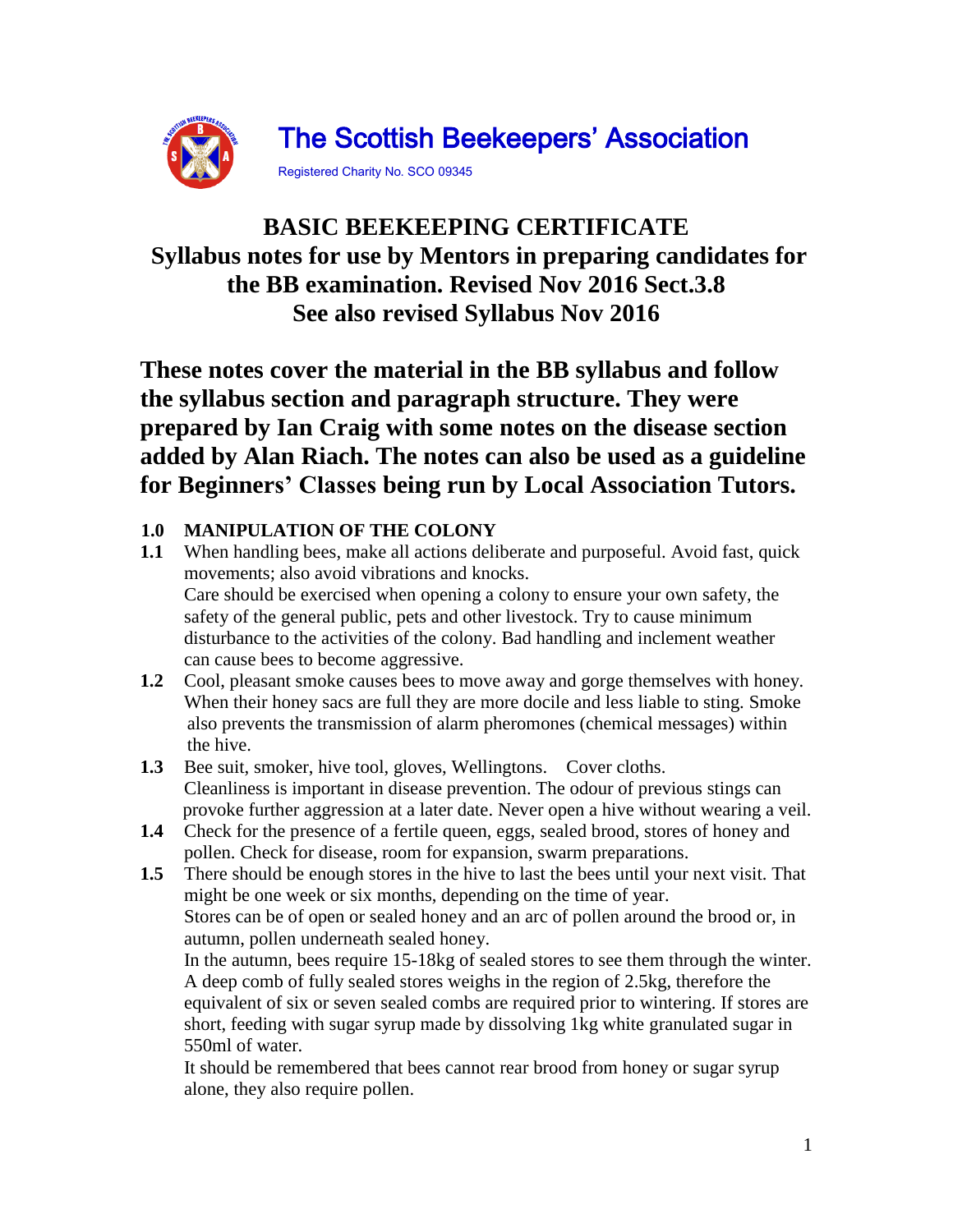

# **BASIC BEEKEEPING CERTIFICATE Syllabus notes for use by Mentors in preparing candidates for the BB examination. Revised Nov 2016 Sect.3.8 See also revised Syllabus Nov 2016**

**These notes cover the material in the BB syllabus and follow the syllabus section and paragraph structure. They were prepared by Ian Craig with some notes on the disease section added by Alan Riach. The notes can also be used as a guideline for Beginners' Classes being run by Local Association Tutors.**

# **1.0 MANIPULATION OF THE COLONY**

- **1.1** When handling bees, make all actions deliberate and purposeful. Avoid fast, quick movements; also avoid vibrations and knocks. Care should be exercised when opening a colony to ensure your own safety, the safety of the general public, pets and other livestock. Try to cause minimum disturbance to the activities of the colony. Bad handling and inclement weather can cause bees to become aggressive.
- **1.2** Cool, pleasant smoke causes bees to move away and gorge themselves with honey. When their honey sacs are full they are more docile and less liable to sting. Smoke also prevents the transmission of alarm pheromones (chemical messages) within the hive.
- **1.3** Bee suit, smoker, hive tool, gloves, Wellingtons. Cover cloths. Cleanliness is important in disease prevention. The odour of previous stings can provoke further aggression at a later date. Never open a hive without wearing a veil.
- **1.4** Check for the presence of a fertile queen, eggs, sealed brood, stores of honey and pollen. Check for disease, room for expansion, swarm preparations.
- **1.5** There should be enough stores in the hive to last the bees until your next visit. That might be one week or six months, depending on the time of year. Stores can be of open or sealed honey and an arc of pollen around the brood or, in autumn, pollen underneath sealed honey.

In the autumn, bees require 15-18kg of sealed stores to see them through the winter. A deep comb of fully sealed stores weighs in the region of 2.5kg, therefore the equivalent of six or seven sealed combs are required prior to wintering. If stores are short, feeding with sugar syrup made by dissolving 1kg white granulated sugar in 550ml of water.

It should be remembered that bees cannot rear brood from honey or sugar syrup alone, they also require pollen.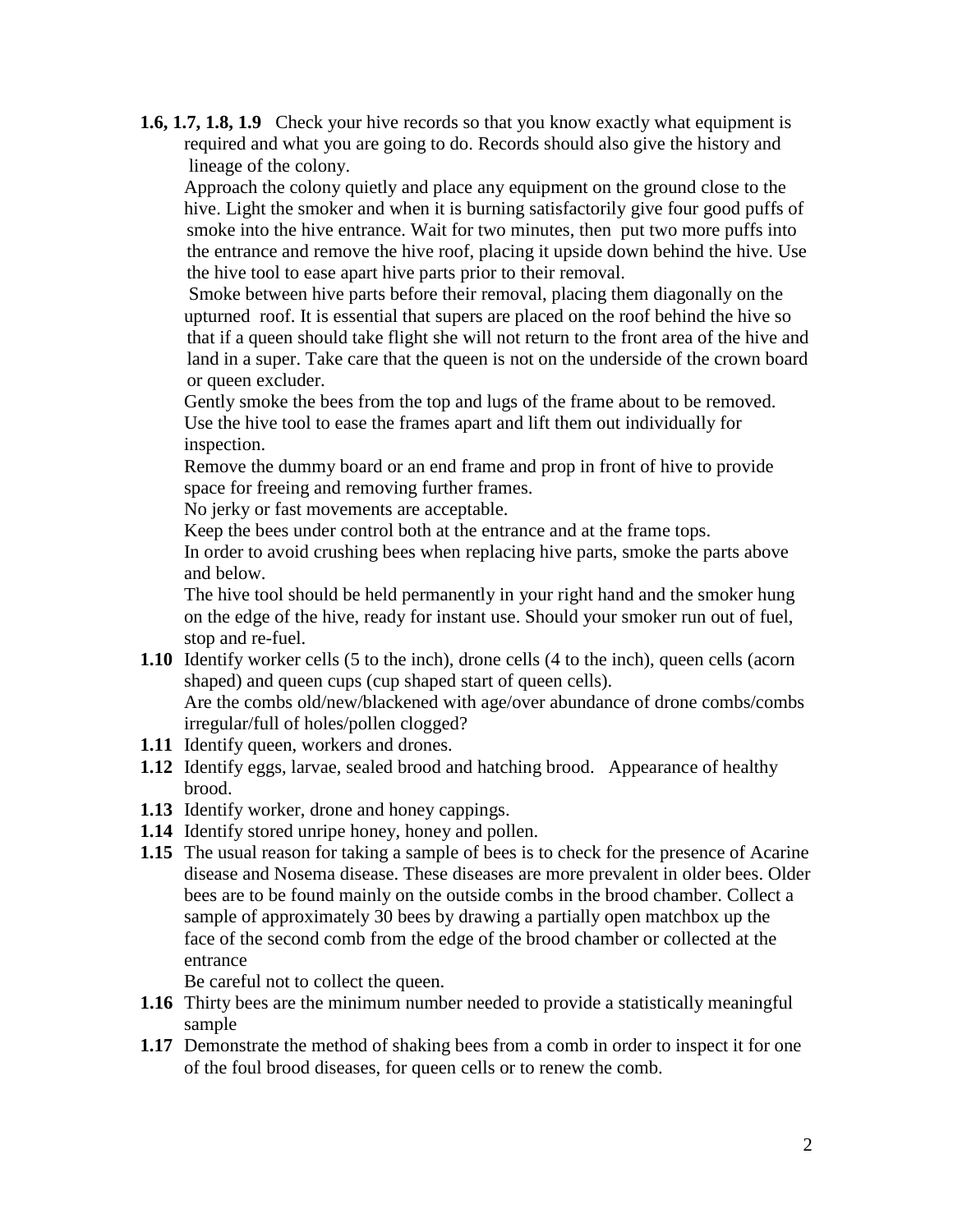**1.6, 1.7, 1.8, 1.9** Check your hive records so that you know exactly what equipment is required and what you are going to do. Records should also give the history and lineage of the colony.

 Approach the colony quietly and place any equipment on the ground close to the hive. Light the smoker and when it is burning satisfactorily give four good puffs of smoke into the hive entrance. Wait for two minutes, then put two more puffs into the entrance and remove the hive roof, placing it upside down behind the hive. Use the hive tool to ease apart hive parts prior to their removal.

 Smoke between hive parts before their removal, placing them diagonally on the upturned roof. It is essential that supers are placed on the roof behind the hive so that if a queen should take flight she will not return to the front area of the hive and land in a super. Take care that the queen is not on the underside of the crown board or queen excluder.

Gently smoke the bees from the top and lugs of the frame about to be removed. Use the hive tool to ease the frames apart and lift them out individually for inspection.

Remove the dummy board or an end frame and prop in front of hive to provide space for freeing and removing further frames.

No jerky or fast movements are acceptable.

Keep the bees under control both at the entrance and at the frame tops.

In order to avoid crushing bees when replacing hive parts, smoke the parts above and below.

 The hive tool should be held permanently in your right hand and the smoker hung on the edge of the hive, ready for instant use. Should your smoker run out of fuel, stop and re-fuel.

- **1.10** Identify worker cells (5 to the inch), drone cells (4 to the inch), queen cells (acorn shaped) and queen cups (cup shaped start of queen cells). Are the combs old/new/blackened with age/over abundance of drone combs/combs irregular/full of holes/pollen clogged?
- **1.11** Identify queen, workers and drones.
- **1.12** Identify eggs, larvae, sealed brood and hatching brood. Appearance of healthy brood.
- **1.13** Identify worker, drone and honey cappings.
- **1.14** Identify stored unripe honey, honey and pollen.
- **1.15** The usual reason for taking a sample of bees is to check for the presence of Acarine disease and Nosema disease. These diseases are more prevalent in older bees. Older bees are to be found mainly on the outside combs in the brood chamber. Collect a sample of approximately 30 bees by drawing a partially open matchbox up the face of the second comb from the edge of the brood chamber or collected at the entrance

Be careful not to collect the queen.

- **1.16** Thirty bees are the minimum number needed to provide a statistically meaningful sample
- **1.17** Demonstrate the method of shaking bees from a comb in order to inspect it for one of the foul brood diseases, for queen cells or to renew the comb.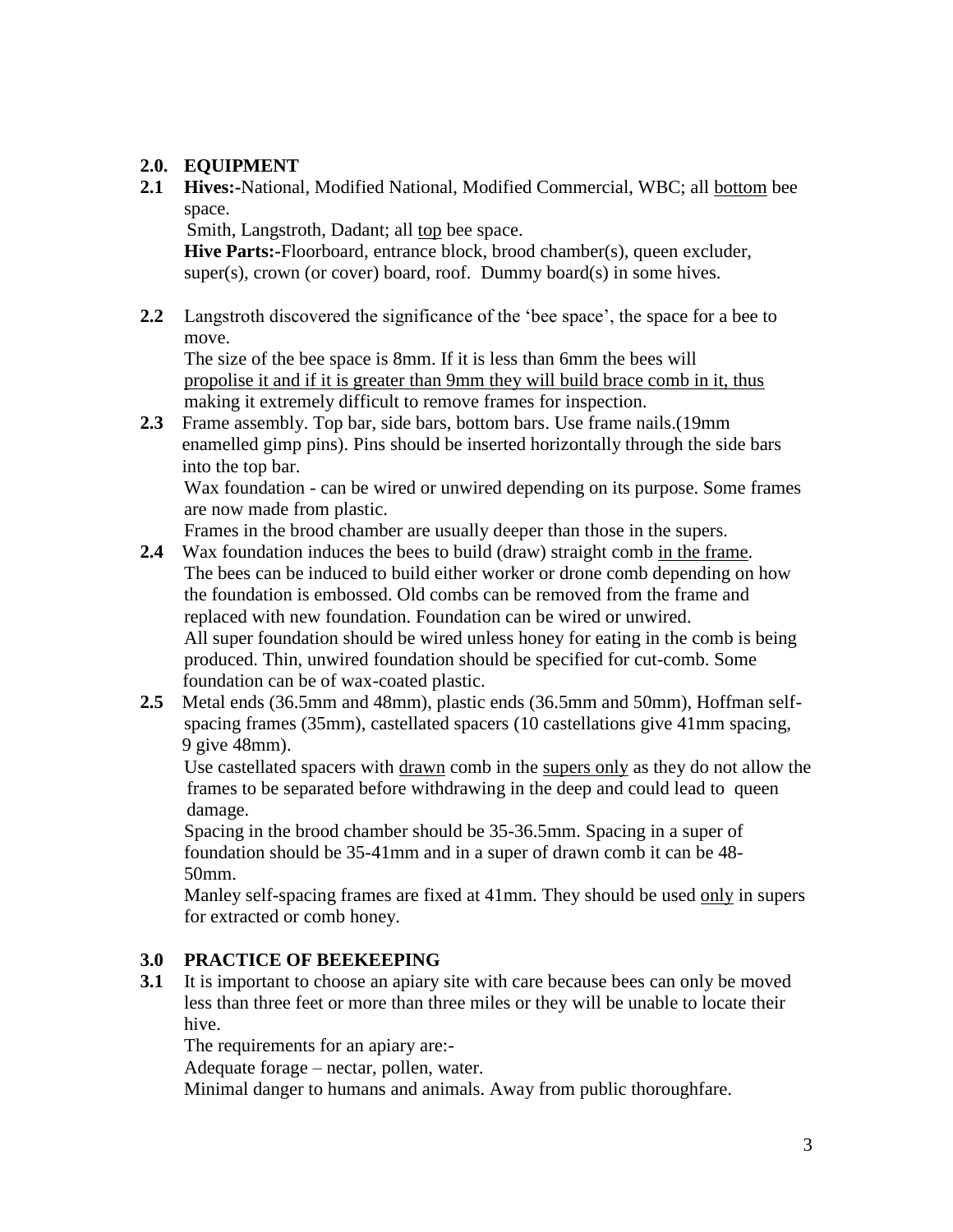## **2.0. EQUIPMENT**

**2.1 Hives:-**National, Modified National, Modified Commercial, WBC; all bottom bee space.

Smith, Langstroth, Dadant; all top bee space.

**Hive Parts:-**Floorboard, entrance block, brood chamber(s), queen excluder, super(s), crown (or cover) board, roof. Dummy board(s) in some hives.

**2.2** Langstroth discovered the significance of the 'bee space', the space for a bee to move.

The size of the bee space is 8mm. If it is less than 6mm the bees will propolise it and if it is greater than 9mm they will build brace comb in it, thus making it extremely difficult to remove frames for inspection.

**2.3** Frame assembly. Top bar, side bars, bottom bars. Use frame nails.(19mm enamelled gimp pins). Pins should be inserted horizontally through the side bars into the top bar.

Wax foundation - can be wired or unwired depending on its purpose. Some frames are now made from plastic.

Frames in the brood chamber are usually deeper than those in the supers.

- **2.4** Wax foundation induces the bees to build (draw) straight comb in the frame. The bees can be induced to build either worker or drone comb depending on how the foundation is embossed. Old combs can be removed from the frame and replaced with new foundation. Foundation can be wired or unwired. All super foundation should be wired unless honey for eating in the comb is being produced. Thin, unwired foundation should be specified for cut-comb. Some foundation can be of wax-coated plastic.
- **2.5** Metal ends (36.5mm and 48mm), plastic ends (36.5mm and 50mm), Hoffman selfspacing frames (35mm), castellated spacers (10 castellations give 41mm spacing, 9 give 48mm).

Use castellated spacers with drawn comb in the supers only as they do not allow the frames to be separated before withdrawing in the deep and could lead to queen damage.

Spacing in the brood chamber should be 35-36.5mm. Spacing in a super of foundation should be 35-41mm and in a super of drawn comb it can be 48- 50mm.

Manley self-spacing frames are fixed at 41mm. They should be used only in supers for extracted or comb honey.

## **3.0 PRACTICE OF BEEKEEPING**

**3.1** It is important to choose an apiary site with care because bees can only be moved less than three feet or more than three miles or they will be unable to locate their hive.

The requirements for an apiary are:-

Adequate forage – nectar, pollen, water.

Minimal danger to humans and animals. Away from public thoroughfare.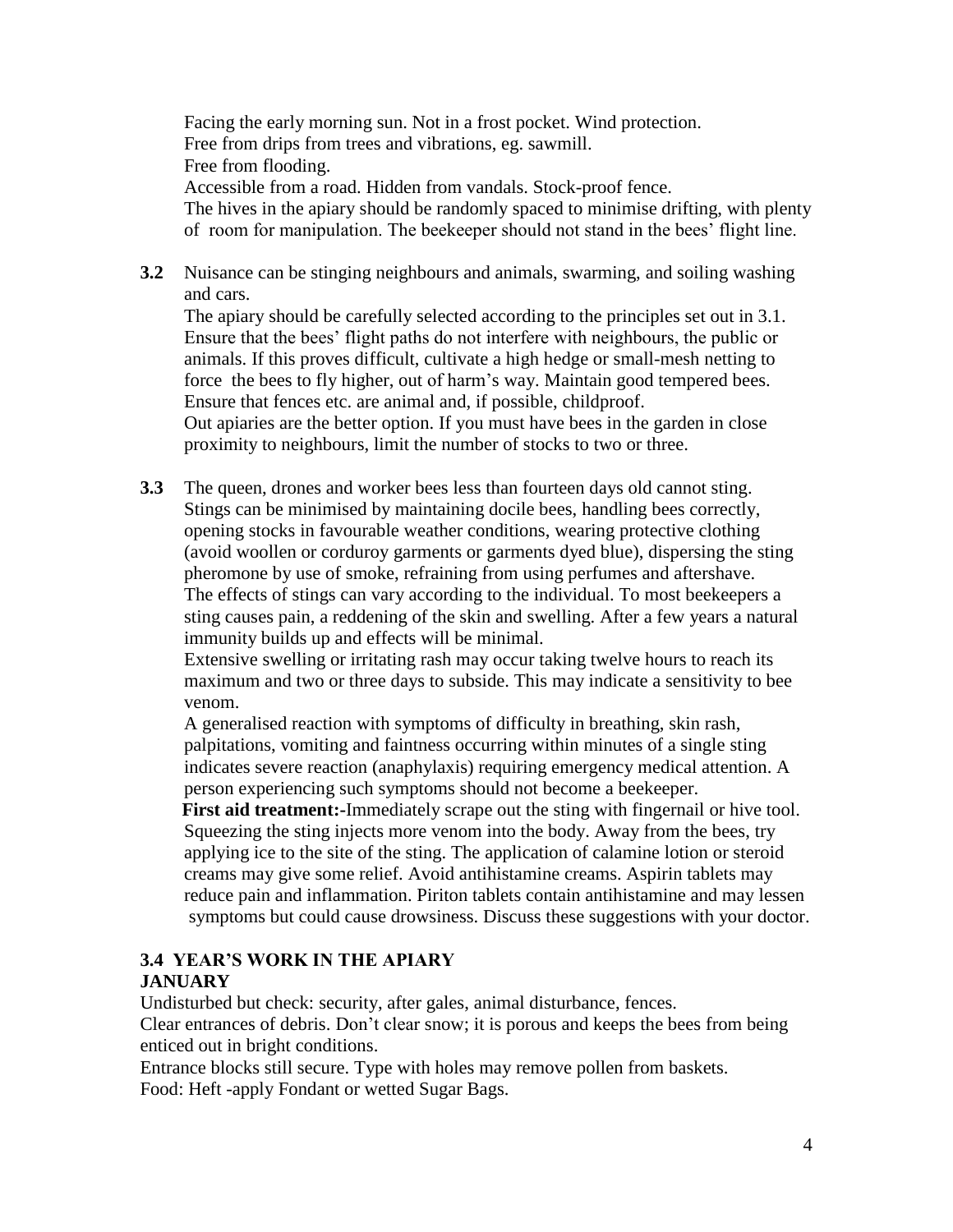Facing the early morning sun. Not in a frost pocket. Wind protection. Free from drips from trees and vibrations, eg. sawmill. Free from flooding. Accessible from a road. Hidden from vandals. Stock-proof fence. The hives in the apiary should be randomly spaced to minimise drifting, with plenty of room for manipulation. The beekeeper should not stand in the bees' flight line.

**3.2** Nuisance can be stinging neighbours and animals, swarming, and soiling washing and cars.

The apiary should be carefully selected according to the principles set out in 3.1. Ensure that the bees' flight paths do not interfere with neighbours, the public or animals. If this proves difficult, cultivate a high hedge or small-mesh netting to force the bees to fly higher, out of harm's way. Maintain good tempered bees. Ensure that fences etc. are animal and, if possible, childproof.

Out apiaries are the better option. If you must have bees in the garden in close proximity to neighbours, limit the number of stocks to two or three.

**3.3** The queen, drones and worker bees less than fourteen days old cannot sting. Stings can be minimised by maintaining docile bees, handling bees correctly, opening stocks in favourable weather conditions, wearing protective clothing (avoid woollen or corduroy garments or garments dyed blue), dispersing the sting pheromone by use of smoke, refraining from using perfumes and aftershave. The effects of stings can vary according to the individual. To most beekeepers a sting causes pain, a reddening of the skin and swelling. After a few years a natural immunity builds up and effects will be minimal.

Extensive swelling or irritating rash may occur taking twelve hours to reach its maximum and two or three days to subside. This may indicate a sensitivity to bee venom.

A generalised reaction with symptoms of difficulty in breathing, skin rash, palpitations, vomiting and faintness occurring within minutes of a single sting indicates severe reaction (anaphylaxis) requiring emergency medical attention. A person experiencing such symptoms should not become a beekeeper.

 **First aid treatment:-**Immediately scrape out the sting with fingernail or hive tool. Squeezing the sting injects more venom into the body. Away from the bees, try applying ice to the site of the sting. The application of calamine lotion or steroid creams may give some relief. Avoid antihistamine creams. Aspirin tablets may reduce pain and inflammation. Piriton tablets contain antihistamine and may lessen symptoms but could cause drowsiness. Discuss these suggestions with your doctor.

# **3.4 YEAR'S WORK IN THE APIARY**

# **JANUARY**

Undisturbed but check: security, after gales, animal disturbance, fences.

Clear entrances of debris. Don't clear snow; it is porous and keeps the bees from being enticed out in bright conditions.

Entrance blocks still secure. Type with holes may remove pollen from baskets. Food: Heft -apply Fondant or wetted Sugar Bags.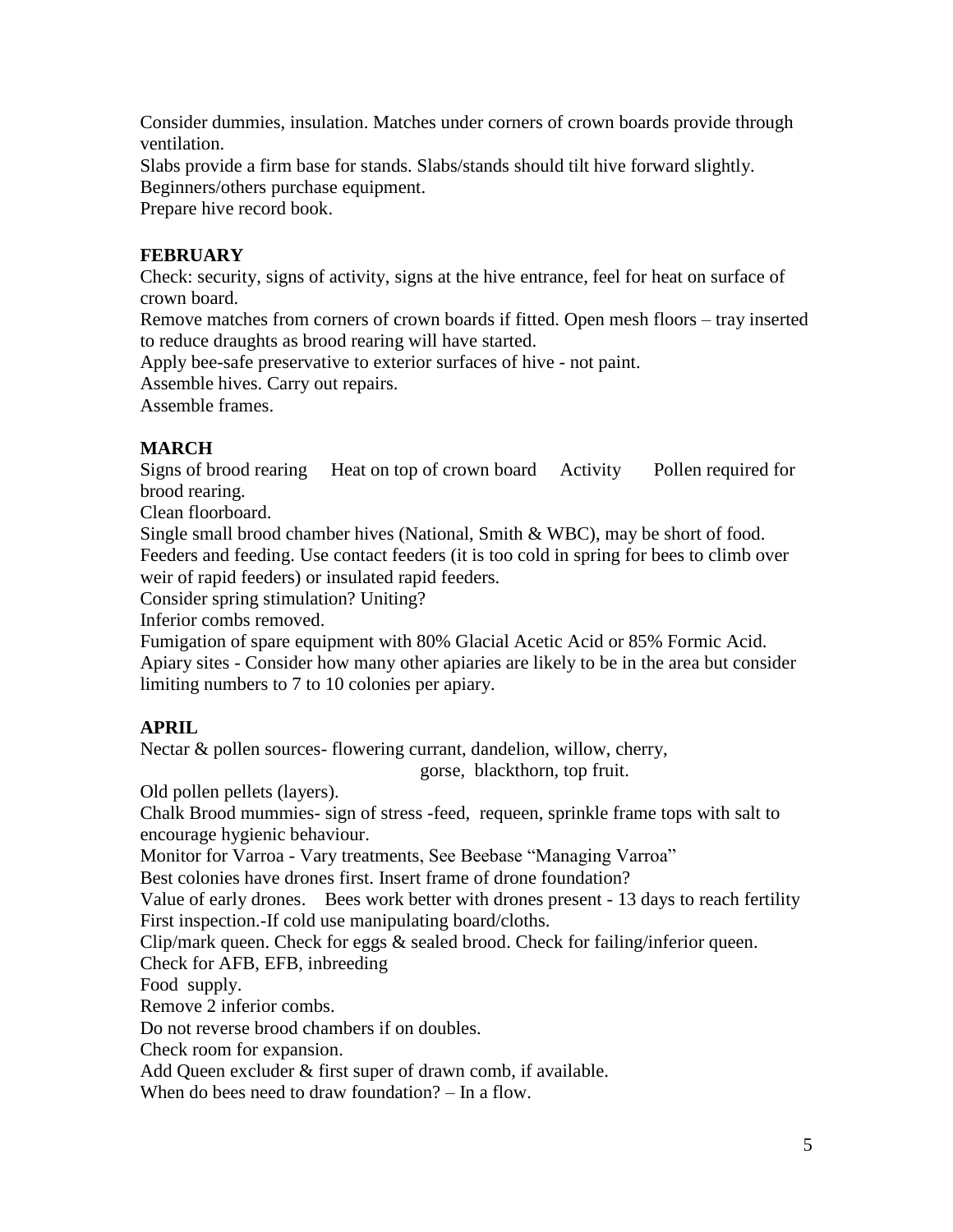Consider dummies, insulation. Matches under corners of crown boards provide through ventilation.

Slabs provide a firm base for stands. Slabs/stands should tilt hive forward slightly. Beginners/others purchase equipment.

Prepare hive record book.

## **FEBRUARY**

Check: security, signs of activity, signs at the hive entrance, feel for heat on surface of crown board.

Remove matches from corners of crown boards if fitted. Open mesh floors – tray inserted to reduce draughts as brood rearing will have started.

Apply bee-safe preservative to exterior surfaces of hive - not paint.

Assemble hives. Carry out repairs.

Assemble frames.

# **MARCH**

Signs of brood rearing Heat on top of crown board Activity Pollen required for brood rearing.

Clean floorboard.

Single small brood chamber hives (National, Smith & WBC), may be short of food. Feeders and feeding. Use contact feeders (it is too cold in spring for bees to climb over weir of rapid feeders) or insulated rapid feeders.

Consider spring stimulation? Uniting?

Inferior combs removed.

Fumigation of spare equipment with 80% Glacial Acetic Acid or 85% Formic Acid. Apiary sites - Consider how many other apiaries are likely to be in the area but consider limiting numbers to 7 to 10 colonies per apiary.

# **APRIL**

Nectar & pollen sources- flowering currant, dandelion, willow, cherry,

gorse, blackthorn, top fruit.

Old pollen pellets (layers).

Chalk Brood mummies- sign of stress -feed, requeen, sprinkle frame tops with salt to encourage hygienic behaviour.

Monitor for Varroa - Vary treatments, See Beebase "Managing Varroa"

Best colonies have drones first. Insert frame of drone foundation?

Value of early drones. Bees work better with drones present - 13 days to reach fertility First inspection.-If cold use manipulating board/cloths.

Clip/mark queen. Check for eggs  $\&$  sealed brood. Check for failing/inferior queen.

Check for AFB, EFB, inbreeding

Food supply.

Remove 2 inferior combs.

Do not reverse brood chambers if on doubles.

Check room for expansion.

Add Queen excluder & first super of drawn comb, if available.

When do bees need to draw foundation? – In a flow.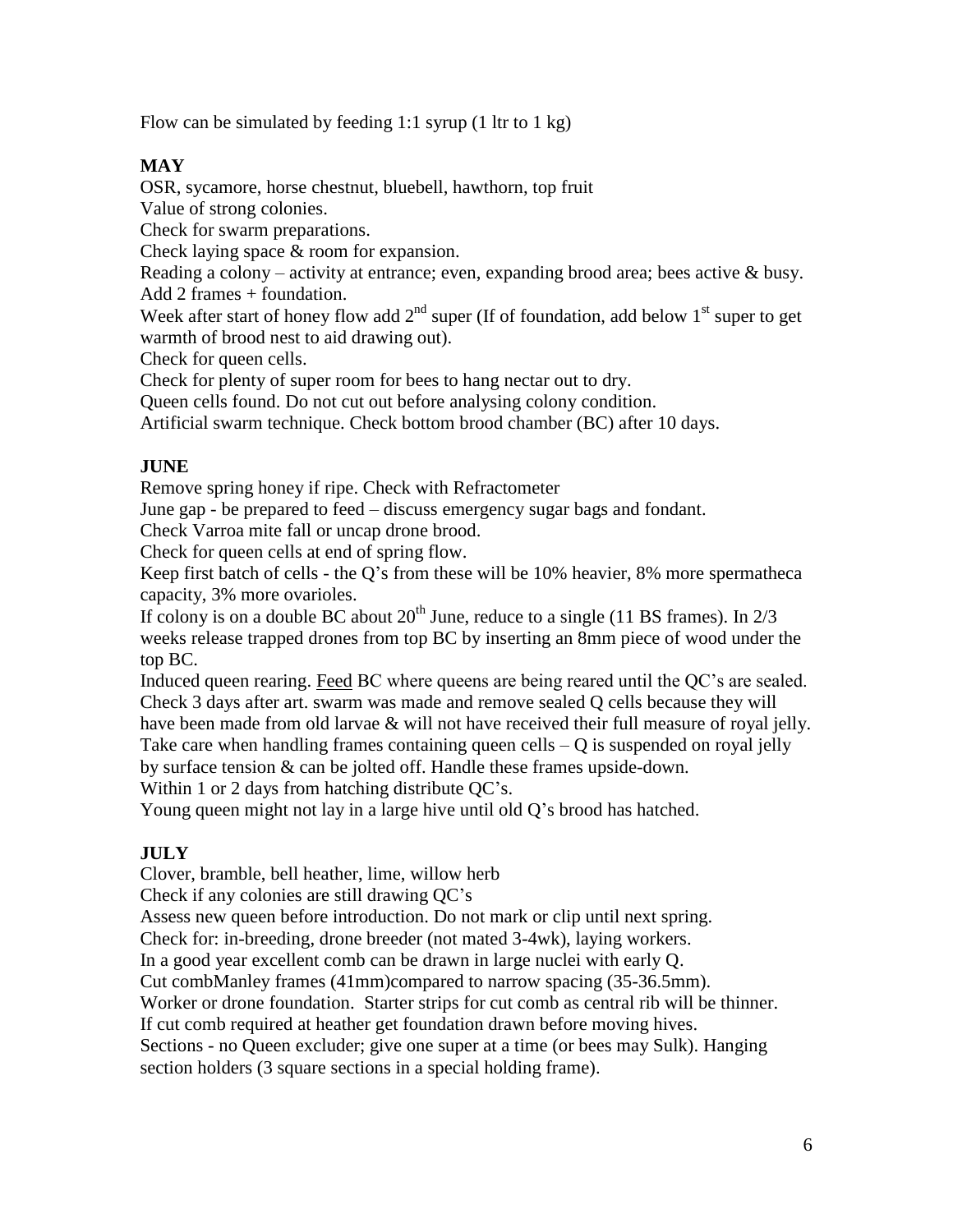Flow can be simulated by feeding 1:1 syrup  $(1 \text{ ltr to } 1 \text{ kg})$ 

## **MAY**

OSR, sycamore, horse chestnut, bluebell, hawthorn, top fruit

Value of strong colonies.

Check for swarm preparations.

Check laying space & room for expansion.

Reading a colony – activity at entrance; even, expanding brood area; bees active  $\&$  busy. Add 2 frames + foundation.

Week after start of honey flow add  $2<sup>nd</sup>$  super (If of foundation, add below  $1<sup>st</sup>$  super to get warmth of brood nest to aid drawing out).

Check for queen cells.

Check for plenty of super room for bees to hang nectar out to dry.

Queen cells found. Do not cut out before analysing colony condition.

Artificial swarm technique. Check bottom brood chamber (BC) after 10 days.

## **JUNE**

Remove spring honey if ripe. Check with Refractometer

June gap - be prepared to feed – discuss emergency sugar bags and fondant.

Check Varroa mite fall or uncap drone brood.

Check for queen cells at end of spring flow.

Keep first batch of cells - the Q's from these will be 10% heavier, 8% more spermatheca capacity, 3% more ovarioles.

If colony is on a double BC about  $20<sup>th</sup>$  June, reduce to a single (11 BS frames). In  $2/3$ weeks release trapped drones from top BC by inserting an 8mm piece of wood under the top BC.

Induced queen rearing. Feed BC where queens are being reared until the QC's are sealed. Check 3 days after art. swarm was made and remove sealed Q cells because they will have been made from old larvae & will not have received their full measure of royal jelly. Take care when handling frames containing queen cells  $-Q$  is suspended on royal jelly by surface tension & can be jolted off. Handle these frames upside-down.

Within 1 or 2 days from hatching distribute QC's.

Young queen might not lay in a large hive until old Q's brood has hatched.

## **JULY**

Clover, bramble, bell heather, lime, willow herb

Check if any colonies are still drawing QC's

Assess new queen before introduction. Do not mark or clip until next spring.

Check for: in-breeding, drone breeder (not mated 3-4wk), laying workers.

In a good year excellent comb can be drawn in large nuclei with early Q.

Cut combManley frames (41mm)compared to narrow spacing (35-36.5mm).

Worker or drone foundation. Starter strips for cut comb as central rib will be thinner.

If cut comb required at heather get foundation drawn before moving hives.

Sections - no Queen excluder; give one super at a time (or bees may Sulk). Hanging section holders (3 square sections in a special holding frame).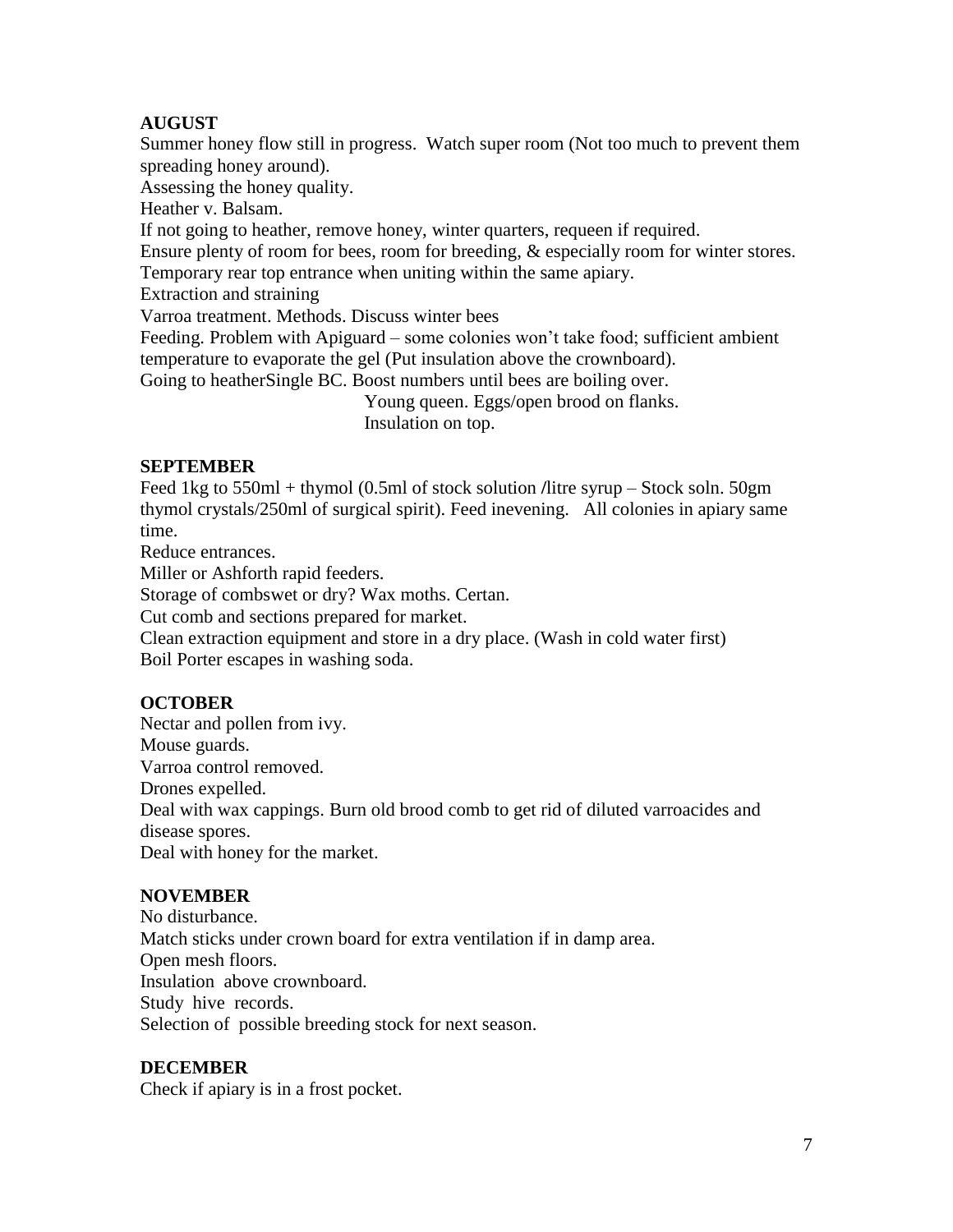## **AUGUST**

Summer honey flow still in progress. Watch super room (Not too much to prevent them spreading honey around).

Assessing the honey quality.

Heather v. Balsam.

If not going to heather, remove honey, winter quarters, requeen if required.

Ensure plenty of room for bees, room for breeding, & especially room for winter stores.

Temporary rear top entrance when uniting within the same apiary.

Extraction and straining

Varroa treatment. Methods. Discuss winter bees

Feeding. Problem with Apiguard – some colonies won't take food; sufficient ambient temperature to evaporate the gel (Put insulation above the crownboard).

Going to heatherSingle BC. Boost numbers until bees are boiling over.

Young queen. Eggs/open brood on flanks. Insulation on top.

## **SEPTEMBER**

Feed 1kg to 550ml + thymol (0.5ml of stock solution **/**litre syrup – Stock soln. 50gm thymol crystals/250ml of surgical spirit). Feed inevening. All colonies in apiary same time.

Reduce entrances.

Miller or Ashforth rapid feeders.

Storage of combswet or dry? Wax moths. Certan.

Cut comb and sections prepared for market.

Clean extraction equipment and store in a dry place. (Wash in cold water first) Boil Porter escapes in washing soda.

## **OCTOBER**

Nectar and pollen from ivy. Mouse guards. Varroa control removed. Drones expelled. Deal with wax cappings. Burn old brood comb to get rid of diluted varroacides and disease spores. Deal with honey for the market.

## **NOVEMBER**

No disturbance. Match sticks under crown board for extra ventilation if in damp area. Open mesh floors. Insulation above crownboard. Study hive records. Selection of possible breeding stock for next season.

## **DECEMBER**

Check if apiary is in a frost pocket.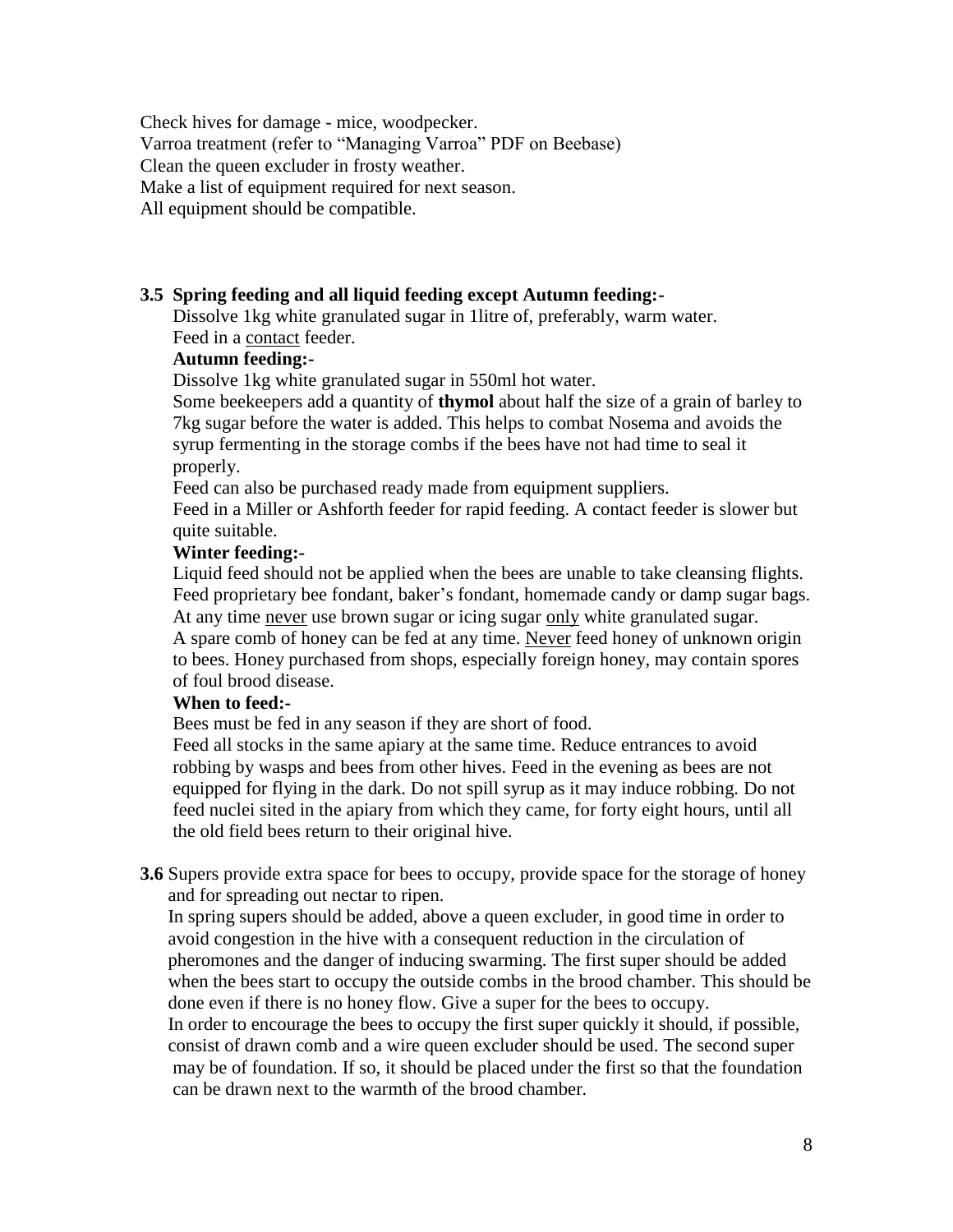Check hives for damage - mice, woodpecker.

Varroa treatment (refer to "Managing Varroa" PDF on Beebase)

Clean the queen excluder in frosty weather.

Make a list of equipment required for next season.

All equipment should be compatible.

#### **3.5 Spring feeding and all liquid feeding except Autumn feeding:-**

Dissolve 1kg white granulated sugar in 1litre of, preferably, warm water. Feed in a contact feeder.

## **Autumn feeding:-**

Dissolve 1kg white granulated sugar in 550ml hot water.

Some beekeepers add a quantity of **thymol** about half the size of a grain of barley to 7kg sugar before the water is added. This helps to combat Nosema and avoids the syrup fermenting in the storage combs if the bees have not had time to seal it properly.

Feed can also be purchased ready made from equipment suppliers.

Feed in a Miller or Ashforth feeder for rapid feeding. A contact feeder is slower but quite suitable.

#### **Winter feeding:-**

Liquid feed should not be applied when the bees are unable to take cleansing flights. Feed proprietary bee fondant, baker's fondant, homemade candy or damp sugar bags. At any time never use brown sugar or icing sugar only white granulated sugar. A spare comb of honey can be fed at any time. Never feed honey of unknown origin to bees. Honey purchased from shops, especially foreign honey, may contain spores of foul brood disease.

#### **When to feed:-**

Bees must be fed in any season if they are short of food.

Feed all stocks in the same apiary at the same time. Reduce entrances to avoid robbing by wasps and bees from other hives. Feed in the evening as bees are not equipped for flying in the dark. Do not spill syrup as it may induce robbing. Do not feed nuclei sited in the apiary from which they came, for forty eight hours, until all the old field bees return to their original hive.

**3.6** Supers provide extra space for bees to occupy, provide space for the storage of honey and for spreading out nectar to ripen.

In spring supers should be added, above a queen excluder, in good time in order to avoid congestion in the hive with a consequent reduction in the circulation of pheromones and the danger of inducing swarming. The first super should be added when the bees start to occupy the outside combs in the brood chamber. This should be done even if there is no honey flow. Give a super for the bees to occupy. In order to encourage the bees to occupy the first super quickly it should, if possible, consist of drawn comb and a wire queen excluder should be used. The second super

may be of foundation. If so, it should be placed under the first so that the foundation can be drawn next to the warmth of the brood chamber.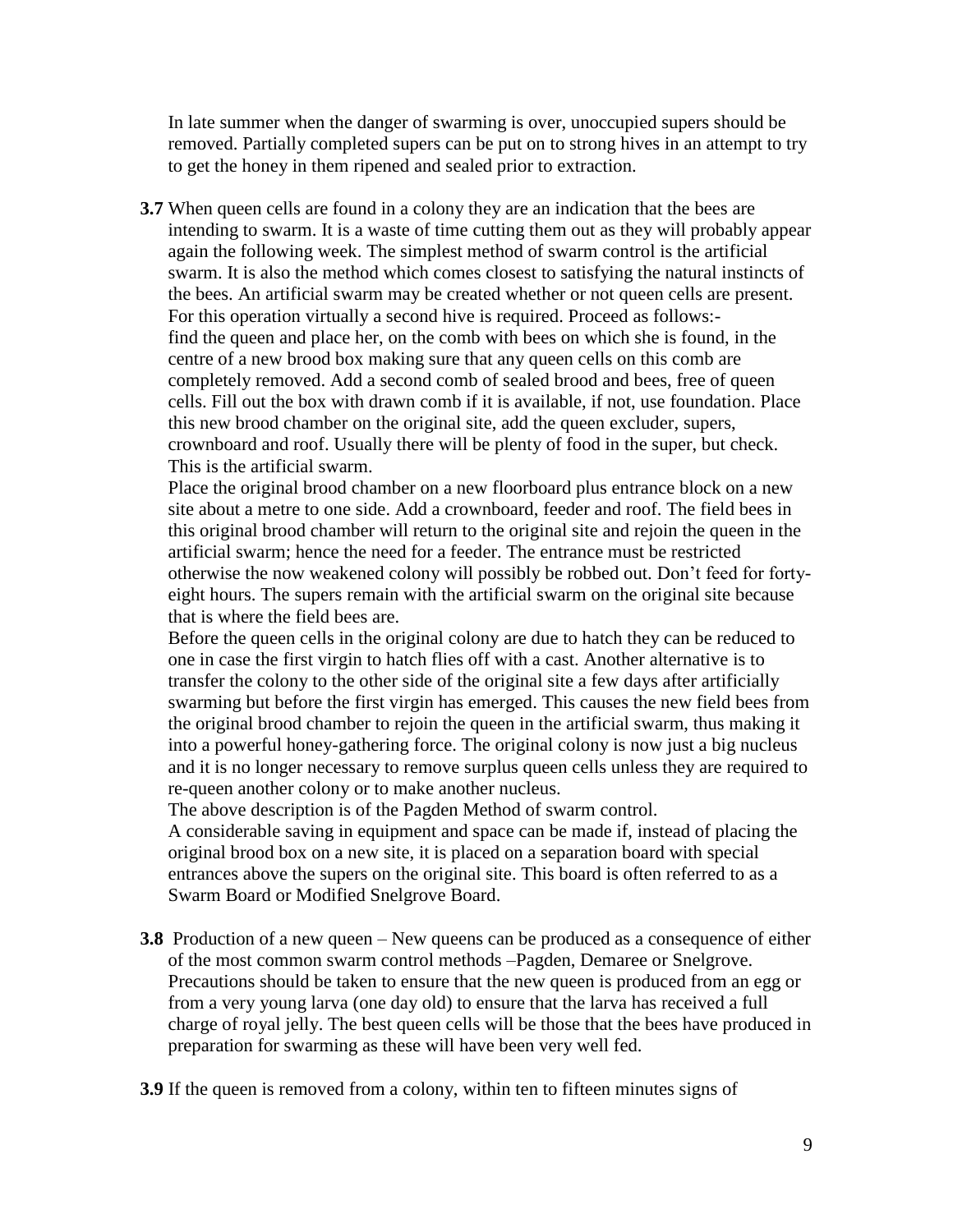In late summer when the danger of swarming is over, unoccupied supers should be removed. Partially completed supers can be put on to strong hives in an attempt to try to get the honey in them ripened and sealed prior to extraction.

**3.7** When queen cells are found in a colony they are an indication that the bees are intending to swarm. It is a waste of time cutting them out as they will probably appear again the following week. The simplest method of swarm control is the artificial swarm. It is also the method which comes closest to satisfying the natural instincts of the bees. An artificial swarm may be created whether or not queen cells are present. For this operation virtually a second hive is required. Proceed as follows: find the queen and place her, on the comb with bees on which she is found, in the centre of a new brood box making sure that any queen cells on this comb are completely removed. Add a second comb of sealed brood and bees, free of queen cells. Fill out the box with drawn comb if it is available, if not, use foundation. Place this new brood chamber on the original site, add the queen excluder, supers, crownboard and roof. Usually there will be plenty of food in the super, but check. This is the artificial swarm.

Place the original brood chamber on a new floorboard plus entrance block on a new site about a metre to one side. Add a crownboard, feeder and roof. The field bees in this original brood chamber will return to the original site and rejoin the queen in the artificial swarm; hence the need for a feeder. The entrance must be restricted otherwise the now weakened colony will possibly be robbed out. Don't feed for fortyeight hours. The supers remain with the artificial swarm on the original site because that is where the field bees are.

Before the queen cells in the original colony are due to hatch they can be reduced to one in case the first virgin to hatch flies off with a cast. Another alternative is to transfer the colony to the other side of the original site a few days after artificially swarming but before the first virgin has emerged. This causes the new field bees from the original brood chamber to rejoin the queen in the artificial swarm, thus making it into a powerful honey-gathering force. The original colony is now just a big nucleus and it is no longer necessary to remove surplus queen cells unless they are required to re-queen another colony or to make another nucleus.

The above description is of the Pagden Method of swarm control.

A considerable saving in equipment and space can be made if, instead of placing the original brood box on a new site, it is placed on a separation board with special entrances above the supers on the original site. This board is often referred to as a Swarm Board or Modified Snelgrove Board.

**3.8** Production of a new queen – New queens can be produced as a consequence of either of the most common swarm control methods –Pagden, Demaree or Snelgrove. Precautions should be taken to ensure that the new queen is produced from an egg or from a very young larva (one day old) to ensure that the larva has received a full charge of royal jelly. The best queen cells will be those that the bees have produced in preparation for swarming as these will have been very well fed.

**3.9** If the queen is removed from a colony, within ten to fifteen minutes signs of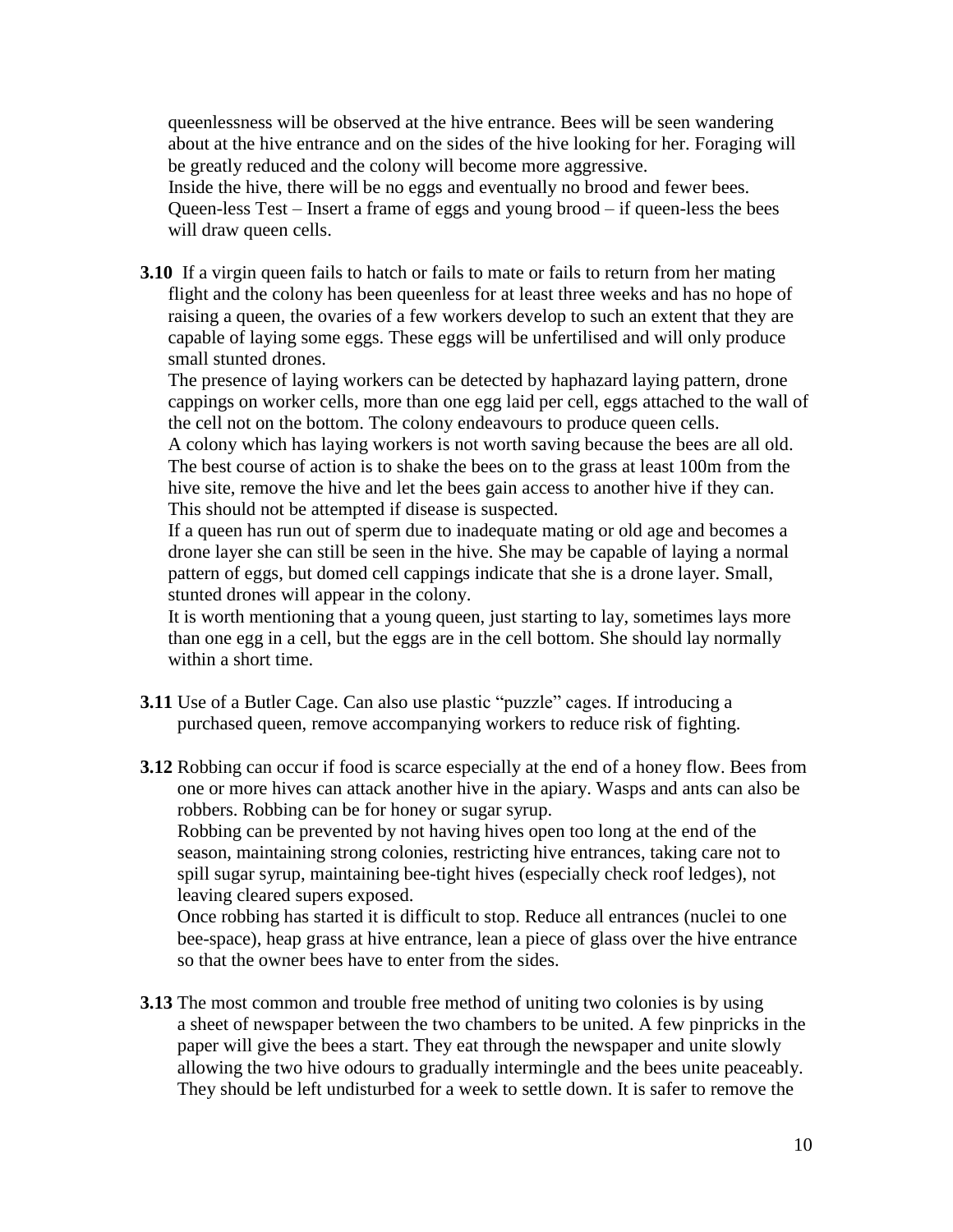queenlessness will be observed at the hive entrance. Bees will be seen wandering about at the hive entrance and on the sides of the hive looking for her. Foraging will be greatly reduced and the colony will become more aggressive.

 Inside the hive, there will be no eggs and eventually no brood and fewer bees. Queen-less Test – Insert a frame of eggs and young brood – if queen-less the bees will draw queen cells.

**3.10** If a virgin queen fails to hatch or fails to mate or fails to return from her mating flight and the colony has been queenless for at least three weeks and has no hope of raising a queen, the ovaries of a few workers develop to such an extent that they are capable of laying some eggs. These eggs will be unfertilised and will only produce small stunted drones.

The presence of laying workers can be detected by haphazard laying pattern, drone cappings on worker cells, more than one egg laid per cell, eggs attached to the wall of the cell not on the bottom. The colony endeavours to produce queen cells.

A colony which has laying workers is not worth saving because the bees are all old. The best course of action is to shake the bees on to the grass at least 100m from the hive site, remove the hive and let the bees gain access to another hive if they can. This should not be attempted if disease is suspected.

If a queen has run out of sperm due to inadequate mating or old age and becomes a drone layer she can still be seen in the hive. She may be capable of laying a normal pattern of eggs, but domed cell cappings indicate that she is a drone layer. Small, stunted drones will appear in the colony.

It is worth mentioning that a young queen, just starting to lay, sometimes lays more than one egg in a cell, but the eggs are in the cell bottom. She should lay normally within a short time.

**3.11** Use of a Butler Cage. Can also use plastic "puzzle" cages. If introducing a purchased queen, remove accompanying workers to reduce risk of fighting.

**3.12** Robbing can occur if food is scarce especially at the end of a honey flow. Bees from one or more hives can attack another hive in the apiary. Wasps and ants can also be robbers. Robbing can be for honey or sugar syrup.

 Robbing can be prevented by not having hives open too long at the end of the season, maintaining strong colonies, restricting hive entrances, taking care not to spill sugar syrup, maintaining bee-tight hives (especially check roof ledges), not leaving cleared supers exposed.

 Once robbing has started it is difficult to stop. Reduce all entrances (nuclei to one bee-space), heap grass at hive entrance, lean a piece of glass over the hive entrance so that the owner bees have to enter from the sides.

**3.13** The most common and trouble free method of uniting two colonies is by using a sheet of newspaper between the two chambers to be united. A few pinpricks in the paper will give the bees a start. They eat through the newspaper and unite slowly allowing the two hive odours to gradually intermingle and the bees unite peaceably. They should be left undisturbed for a week to settle down. It is safer to remove the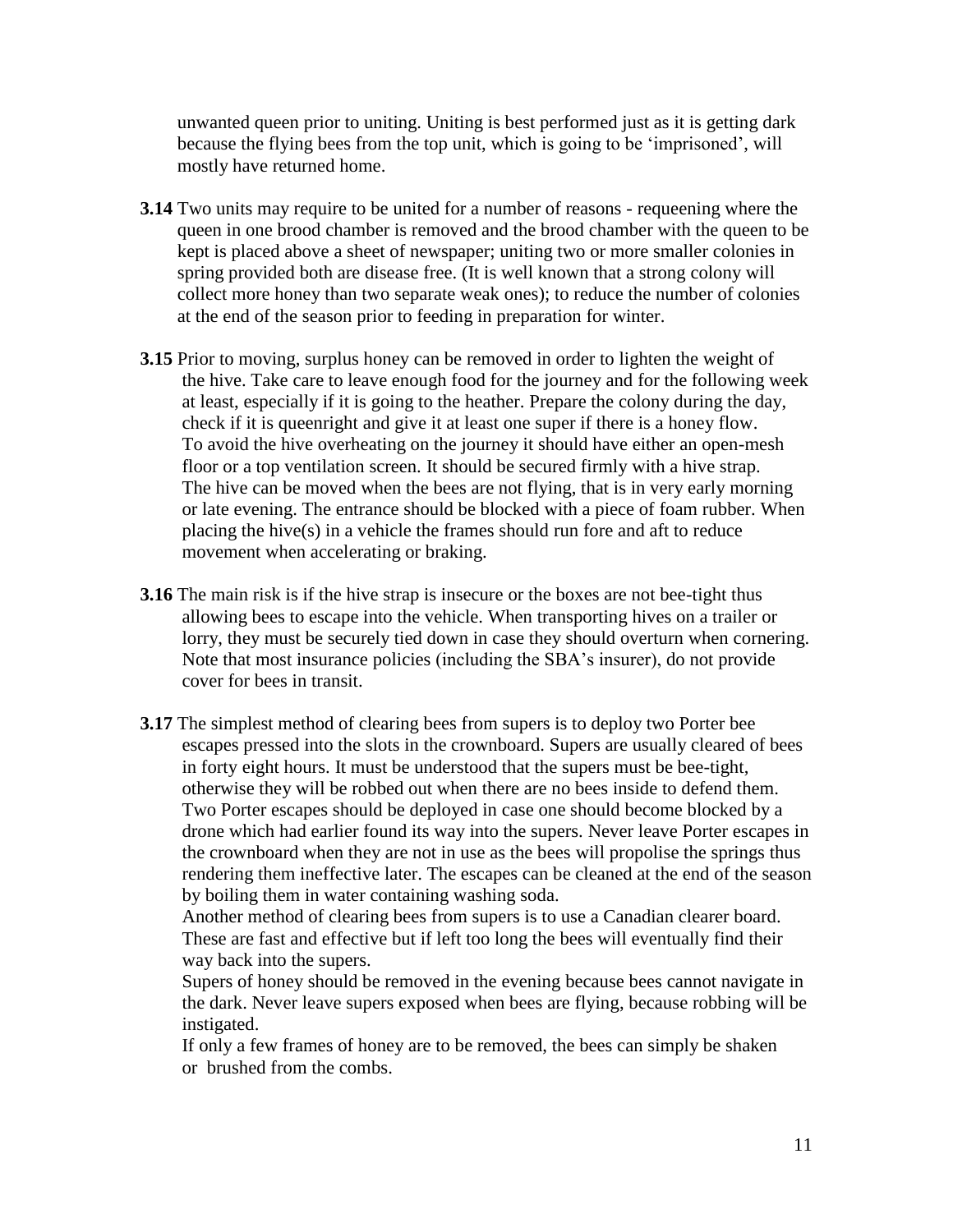unwanted queen prior to uniting. Uniting is best performed just as it is getting dark because the flying bees from the top unit, which is going to be 'imprisoned', will mostly have returned home.

- **3.14** Two units may require to be united for a number of reasons requeening where the queen in one brood chamber is removed and the brood chamber with the queen to be kept is placed above a sheet of newspaper; uniting two or more smaller colonies in spring provided both are disease free. (It is well known that a strong colony will collect more honey than two separate weak ones); to reduce the number of colonies at the end of the season prior to feeding in preparation for winter.
- **3.15** Prior to moving, surplus honey can be removed in order to lighten the weight of the hive. Take care to leave enough food for the journey and for the following week at least, especially if it is going to the heather. Prepare the colony during the day, check if it is queenright and give it at least one super if there is a honey flow. To avoid the hive overheating on the journey it should have either an open-mesh floor or a top ventilation screen. It should be secured firmly with a hive strap. The hive can be moved when the bees are not flying, that is in very early morning or late evening. The entrance should be blocked with a piece of foam rubber. When placing the hive(s) in a vehicle the frames should run fore and aft to reduce movement when accelerating or braking.
- **3.16** The main risk is if the hive strap is insecure or the boxes are not bee-tight thus allowing bees to escape into the vehicle. When transporting hives on a trailer or lorry, they must be securely tied down in case they should overturn when cornering. Note that most insurance policies (including the SBA's insurer), do not provide cover for bees in transit.
- **3.17** The simplest method of clearing bees from supers is to deploy two Porter bee escapes pressed into the slots in the crownboard. Supers are usually cleared of bees in forty eight hours. It must be understood that the supers must be bee-tight, otherwise they will be robbed out when there are no bees inside to defend them. Two Porter escapes should be deployed in case one should become blocked by a drone which had earlier found its way into the supers. Never leave Porter escapes in the crownboard when they are not in use as the bees will propolise the springs thus rendering them ineffective later. The escapes can be cleaned at the end of the season by boiling them in water containing washing soda.

Another method of clearing bees from supers is to use a Canadian clearer board. These are fast and effective but if left too long the bees will eventually find their way back into the supers.

Supers of honey should be removed in the evening because bees cannot navigate in the dark. Never leave supers exposed when bees are flying, because robbing will be instigated.

If only a few frames of honey are to be removed, the bees can simply be shaken or brushed from the combs.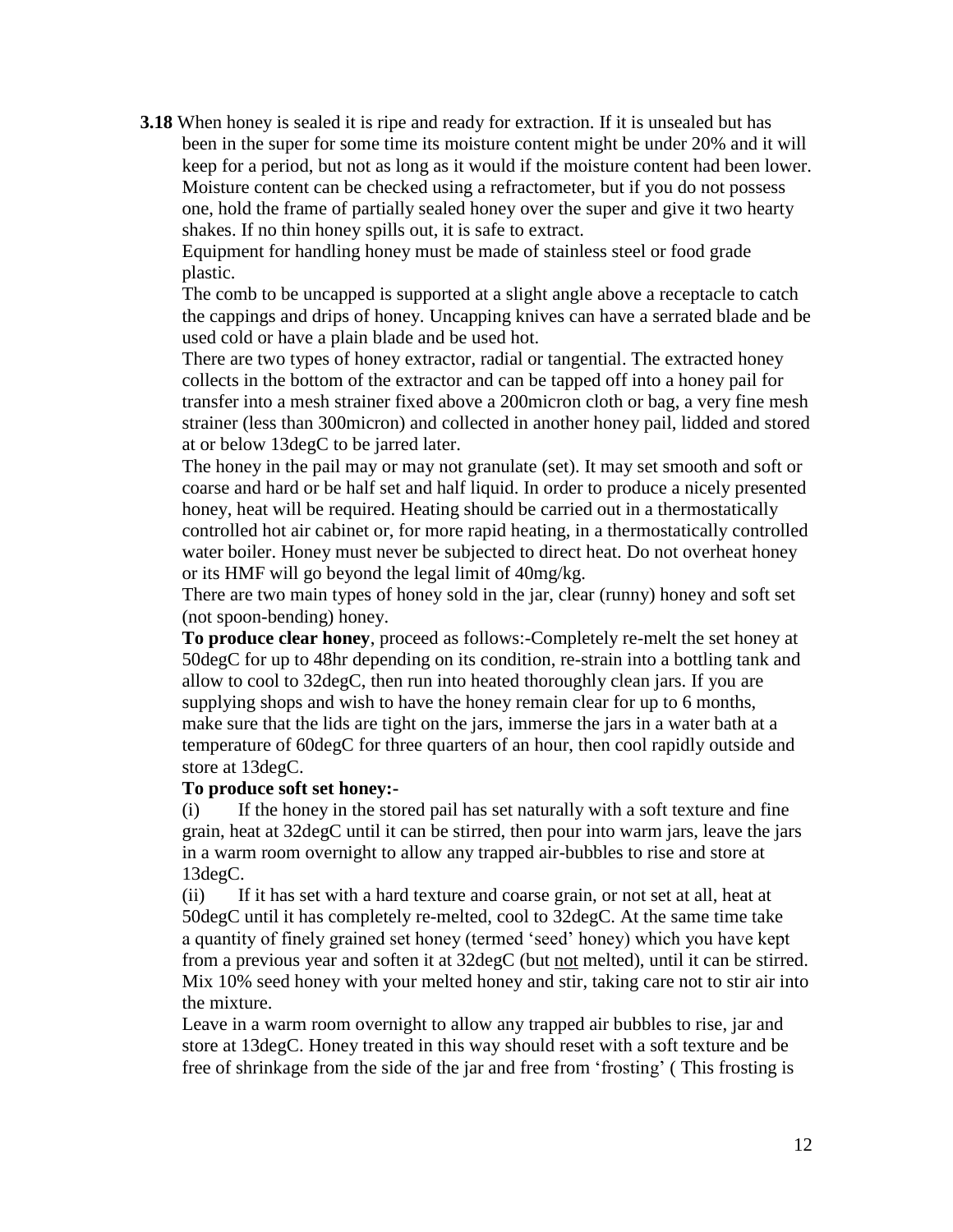**3.18** When honey is sealed it is ripe and ready for extraction. If it is unsealed but has been in the super for some time its moisture content might be under 20% and it will keep for a period, but not as long as it would if the moisture content had been lower. Moisture content can be checked using a refractometer, but if you do not possess one, hold the frame of partially sealed honey over the super and give it two hearty shakes. If no thin honey spills out, it is safe to extract.

Equipment for handling honey must be made of stainless steel or food grade plastic.

The comb to be uncapped is supported at a slight angle above a receptacle to catch the cappings and drips of honey. Uncapping knives can have a serrated blade and be used cold or have a plain blade and be used hot.

There are two types of honey extractor, radial or tangential. The extracted honey collects in the bottom of the extractor and can be tapped off into a honey pail for transfer into a mesh strainer fixed above a 200micron cloth or bag, a very fine mesh strainer (less than 300micron) and collected in another honey pail, lidded and stored at or below 13degC to be jarred later.

The honey in the pail may or may not granulate (set). It may set smooth and soft or coarse and hard or be half set and half liquid. In order to produce a nicely presented honey, heat will be required. Heating should be carried out in a thermostatically controlled hot air cabinet or, for more rapid heating, in a thermostatically controlled water boiler. Honey must never be subjected to direct heat. Do not overheat honey or its HMF will go beyond the legal limit of 40mg/kg.

There are two main types of honey sold in the jar, clear (runny) honey and soft set (not spoon-bending) honey.

**To produce clear honey**, proceed as follows:-Completely re-melt the set honey at 50degC for up to 48hr depending on its condition, re-strain into a bottling tank and allow to cool to 32degC, then run into heated thoroughly clean jars. If you are supplying shops and wish to have the honey remain clear for up to 6 months, make sure that the lids are tight on the jars, immerse the jars in a water bath at a temperature of 60degC for three quarters of an hour, then cool rapidly outside and store at 13degC.

#### **To produce soft set honey:-**

(i) If the honey in the stored pail has set naturally with a soft texture and fine grain, heat at 32degC until it can be stirred, then pour into warm jars, leave the jars in a warm room overnight to allow any trapped air-bubbles to rise and store at 13degC.

(ii) If it has set with a hard texture and coarse grain, or not set at all, heat at 50degC until it has completely re-melted, cool to 32degC. At the same time take a quantity of finely grained set honey (termed 'seed' honey) which you have kept from a previous year and soften it at 32degC (but not melted), until it can be stirred. Mix 10% seed honey with your melted honey and stir, taking care not to stir air into the mixture.

Leave in a warm room overnight to allow any trapped air bubbles to rise, jar and store at 13degC. Honey treated in this way should reset with a soft texture and be free of shrinkage from the side of the jar and free from 'frosting' ( This frosting is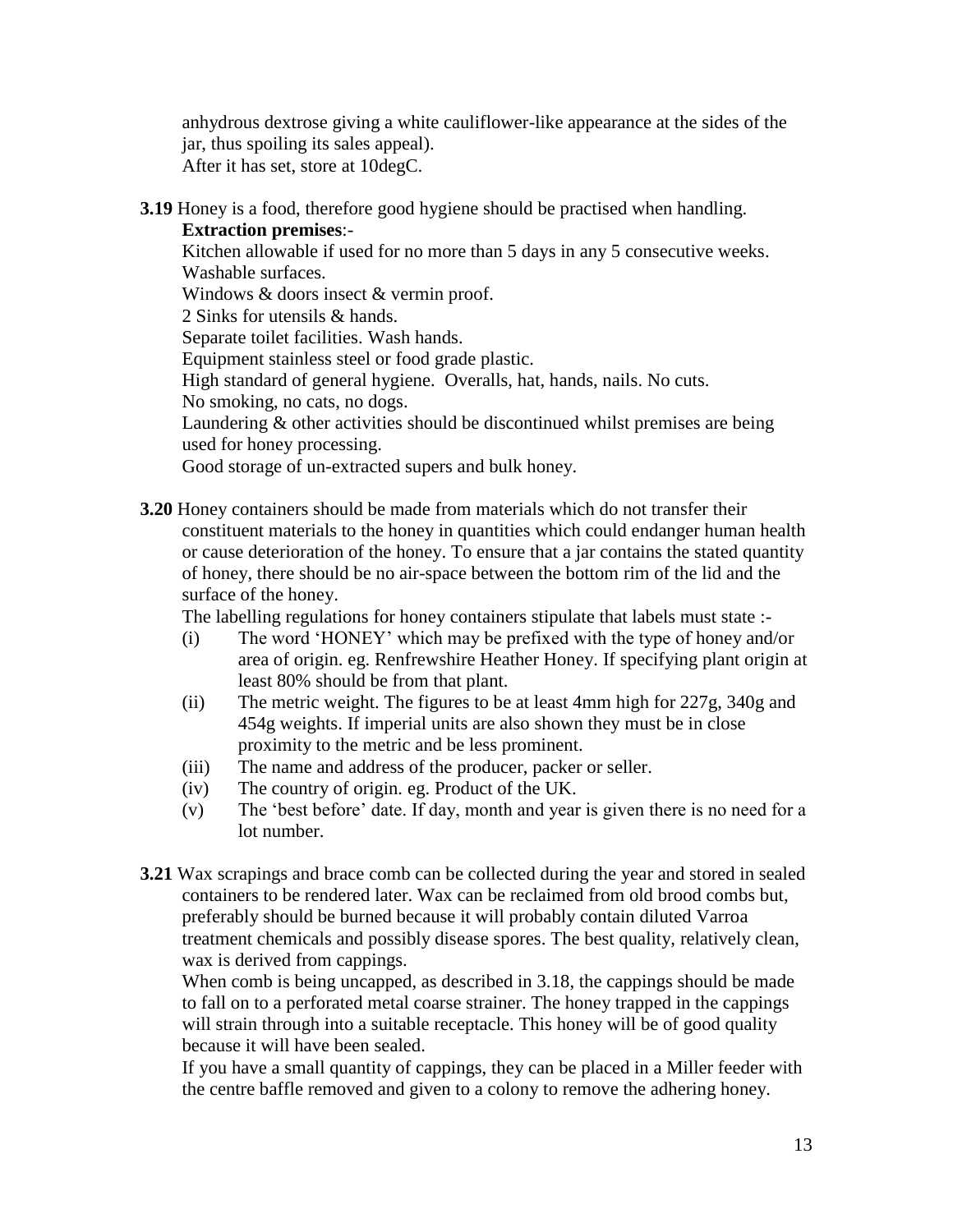anhydrous dextrose giving a white cauliflower-like appearance at the sides of the jar, thus spoiling its sales appeal). After it has set, store at 10degC.

**3.19** Honey is a food, therefore good hygiene should be practised when handling. **Extraction premises**:-

Kitchen allowable if used for no more than 5 days in any 5 consecutive weeks. Washable surfaces.

Windows & doors insect & vermin proof.

2 Sinks for utensils & hands.

Separate toilet facilities. Wash hands.

Equipment stainless steel or food grade plastic.

High standard of general hygiene. Overalls, hat, hands, nails. No cuts.

No smoking, no cats, no dogs.

Laundering & other activities should be discontinued whilst premises are being used for honey processing.

Good storage of un-extracted supers and bulk honey.

**3.20** Honey containers should be made from materials which do not transfer their constituent materials to the honey in quantities which could endanger human health or cause deterioration of the honey. To ensure that a jar contains the stated quantity of honey, there should be no air-space between the bottom rim of the lid and the surface of the honey.

The labelling regulations for honey containers stipulate that labels must state :-

- (i) The word 'HONEY' which may be prefixed with the type of honey and/or area of origin. eg. Renfrewshire Heather Honey. If specifying plant origin at least 80% should be from that plant.
- (ii) The metric weight. The figures to be at least 4mm high for 227g, 340g and 454g weights. If imperial units are also shown they must be in close proximity to the metric and be less prominent.
- (iii) The name and address of the producer, packer or seller.
- (iv) The country of origin. eg. Product of the UK.
- (v) The 'best before' date. If day, month and year is given there is no need for a lot number.
- **3.21** Wax scrapings and brace comb can be collected during the year and stored in sealed containers to be rendered later. Wax can be reclaimed from old brood combs but, preferably should be burned because it will probably contain diluted Varroa treatment chemicals and possibly disease spores. The best quality, relatively clean, wax is derived from cappings.

When comb is being uncapped, as described in 3.18, the cappings should be made to fall on to a perforated metal coarse strainer. The honey trapped in the cappings will strain through into a suitable receptacle. This honey will be of good quality because it will have been sealed.

If you have a small quantity of cappings, they can be placed in a Miller feeder with the centre baffle removed and given to a colony to remove the adhering honey.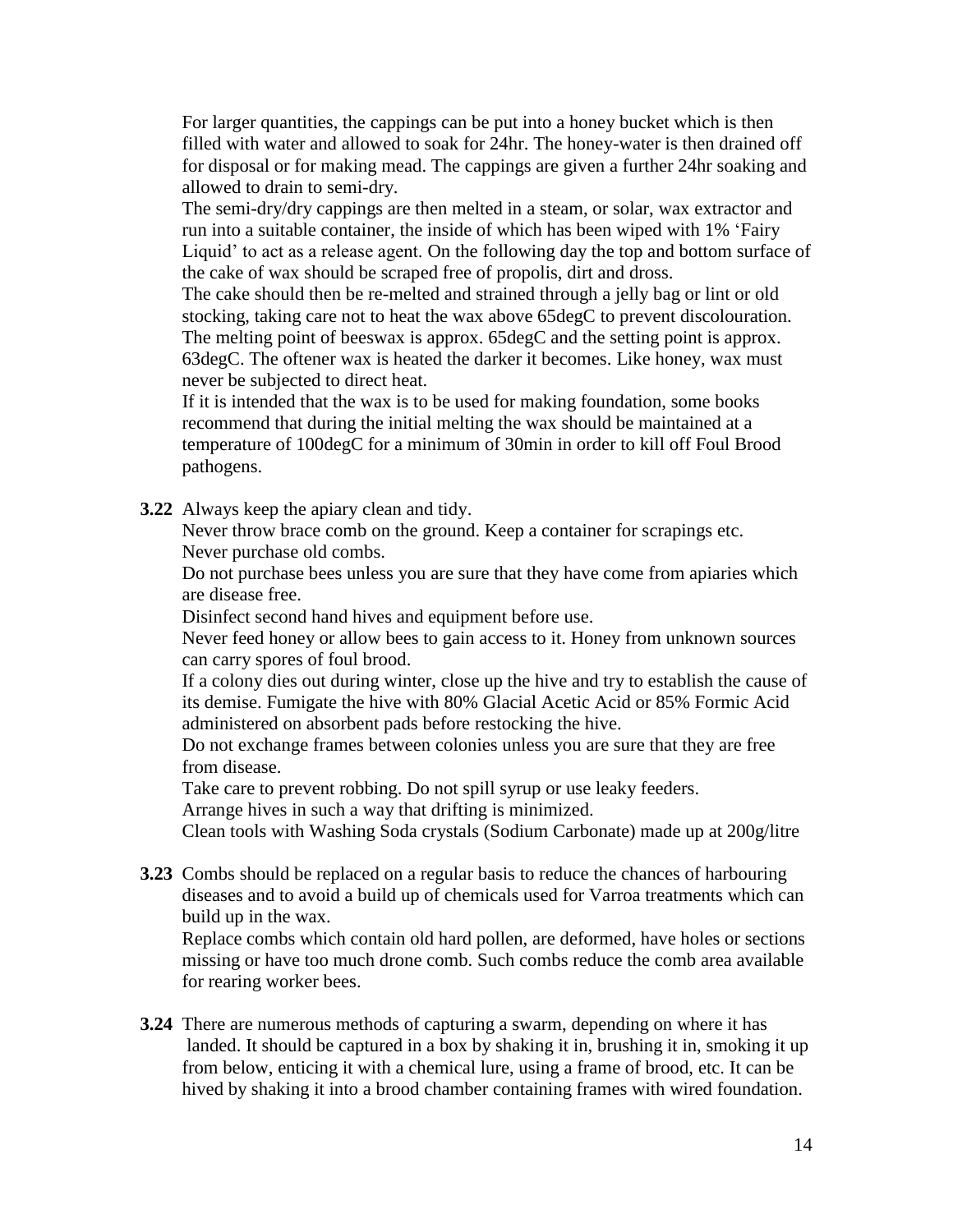For larger quantities, the cappings can be put into a honey bucket which is then filled with water and allowed to soak for 24hr. The honey-water is then drained off for disposal or for making mead. The cappings are given a further 24hr soaking and allowed to drain to semi-dry.

The semi-dry/dry cappings are then melted in a steam, or solar, wax extractor and run into a suitable container, the inside of which has been wiped with 1% 'Fairy Liquid' to act as a release agent. On the following day the top and bottom surface of the cake of wax should be scraped free of propolis, dirt and dross.

The cake should then be re-melted and strained through a jelly bag or lint or old stocking, taking care not to heat the wax above 65degC to prevent discolouration. The melting point of beeswax is approx. 65degC and the setting point is approx. 63degC. The oftener wax is heated the darker it becomes. Like honey, wax must never be subjected to direct heat.

 If it is intended that the wax is to be used for making foundation, some books recommend that during the initial melting the wax should be maintained at a temperature of 100degC for a minimum of 30min in order to kill off Foul Brood pathogens.

**3.22** Always keep the apiary clean and tidy.

Never throw brace comb on the ground. Keep a container for scrapings etc. Never purchase old combs.

Do not purchase bees unless you are sure that they have come from apiaries which are disease free.

Disinfect second hand hives and equipment before use.

Never feed honey or allow bees to gain access to it. Honey from unknown sources can carry spores of foul brood.

If a colony dies out during winter, close up the hive and try to establish the cause of its demise. Fumigate the hive with 80% Glacial Acetic Acid or 85% Formic Acid administered on absorbent pads before restocking the hive.

Do not exchange frames between colonies unless you are sure that they are free from disease.

Take care to prevent robbing. Do not spill syrup or use leaky feeders.

Arrange hives in such a way that drifting is minimized.

Clean tools with Washing Soda crystals (Sodium Carbonate) made up at 200g/litre

**3.23** Combs should be replaced on a regular basis to reduce the chances of harbouring diseases and to avoid a build up of chemicals used for Varroa treatments which can build up in the wax.

Replace combs which contain old hard pollen, are deformed, have holes or sections missing or have too much drone comb. Such combs reduce the comb area available for rearing worker bees.

**3.24** There are numerous methods of capturing a swarm, depending on where it has landed. It should be captured in a box by shaking it in, brushing it in, smoking it up from below, enticing it with a chemical lure, using a frame of brood, etc. It can be hived by shaking it into a brood chamber containing frames with wired foundation.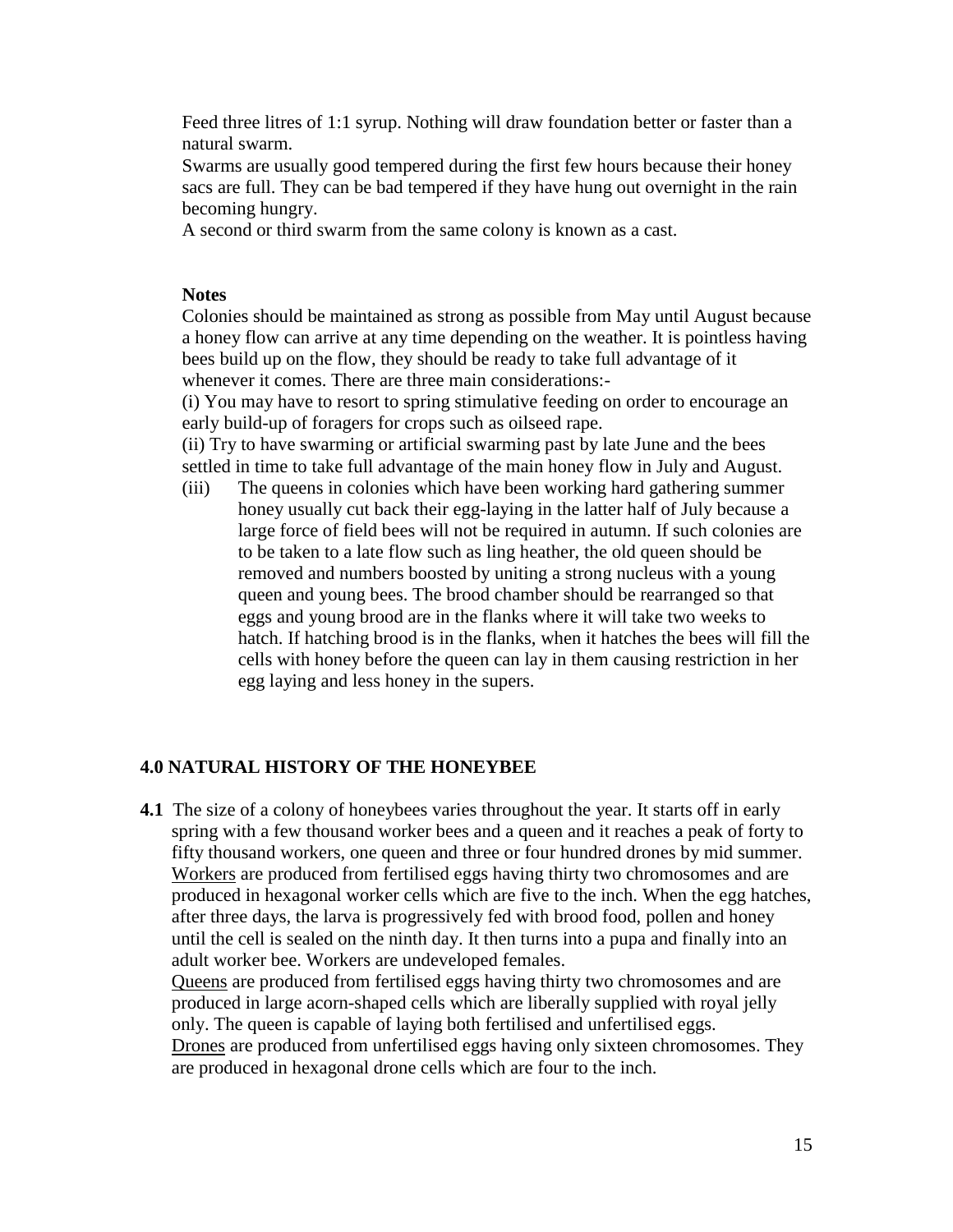Feed three litres of 1:1 syrup. Nothing will draw foundation better or faster than a natural swarm.

 Swarms are usually good tempered during the first few hours because their honey sacs are full. They can be bad tempered if they have hung out overnight in the rain becoming hungry.

A second or third swarm from the same colony is known as a cast.

#### **Notes**

Colonies should be maintained as strong as possible from May until August because a honey flow can arrive at any time depending on the weather. It is pointless having bees build up on the flow, they should be ready to take full advantage of it whenever it comes. There are three main considerations:-

(i) You may have to resort to spring stimulative feeding on order to encourage an early build-up of foragers for crops such as oilseed rape.

(ii) Try to have swarming or artificial swarming past by late June and the bees settled in time to take full advantage of the main honey flow in July and August.

(iii) The queens in colonies which have been working hard gathering summer honey usually cut back their egg-laying in the latter half of July because a large force of field bees will not be required in autumn. If such colonies are to be taken to a late flow such as ling heather, the old queen should be removed and numbers boosted by uniting a strong nucleus with a young queen and young bees. The brood chamber should be rearranged so that eggs and young brood are in the flanks where it will take two weeks to hatch. If hatching brood is in the flanks, when it hatches the bees will fill the cells with honey before the queen can lay in them causing restriction in her egg laying and less honey in the supers.

## **4.0 NATURAL HISTORY OF THE HONEYBEE**

**4.1** The size of a colony of honeybees varies throughout the year. It starts off in early spring with a few thousand worker bees and a queen and it reaches a peak of forty to fifty thousand workers, one queen and three or four hundred drones by mid summer. Workers are produced from fertilised eggs having thirty two chromosomes and are produced in hexagonal worker cells which are five to the inch. When the egg hatches, after three days, the larva is progressively fed with brood food, pollen and honey until the cell is sealed on the ninth day. It then turns into a pupa and finally into an adult worker bee. Workers are undeveloped females.

Queens are produced from fertilised eggs having thirty two chromosomes and are produced in large acorn-shaped cells which are liberally supplied with royal jelly only. The queen is capable of laying both fertilised and unfertilised eggs. Drones are produced from unfertilised eggs having only sixteen chromosomes. They are produced in hexagonal drone cells which are four to the inch.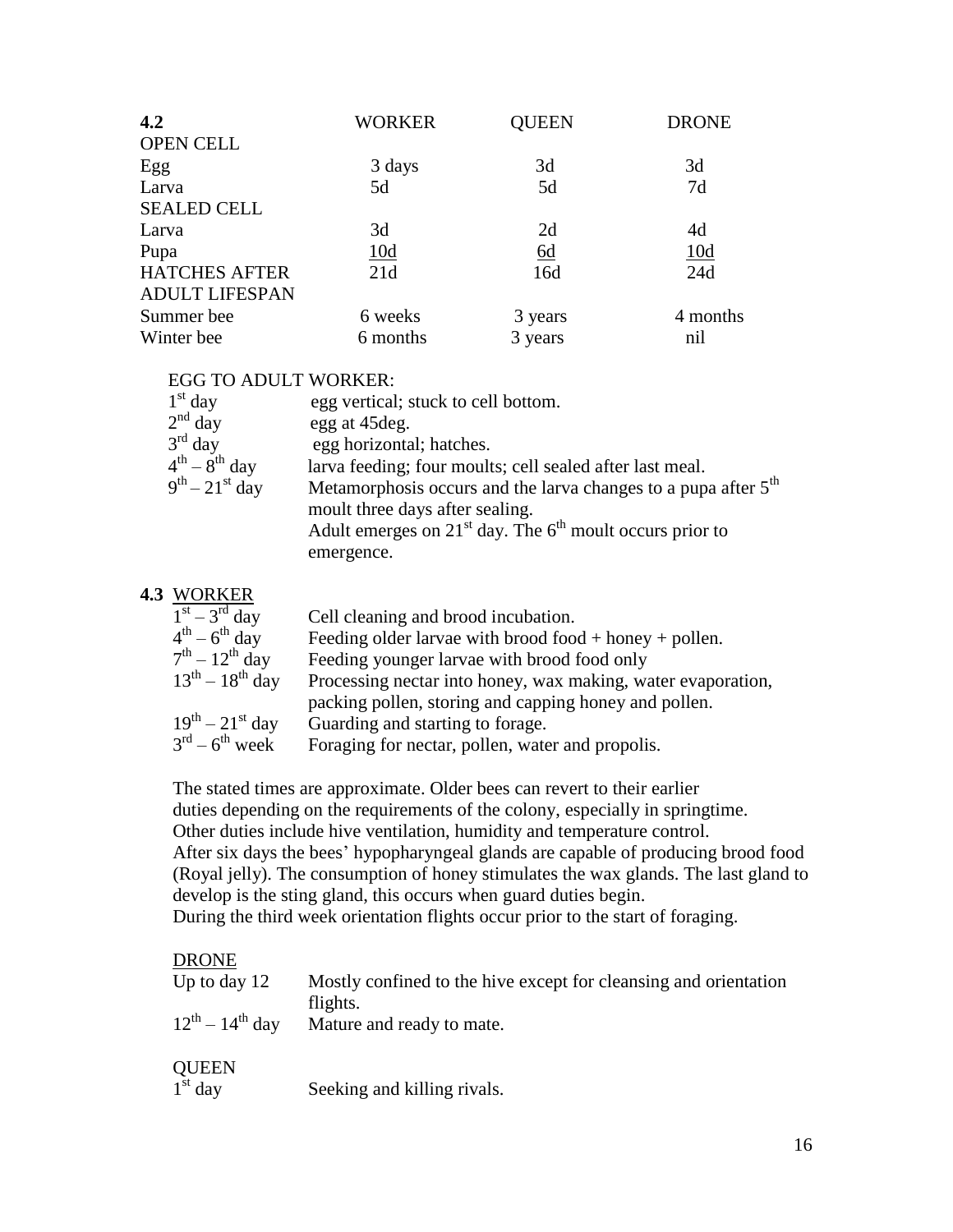| 4.2                   | WORKER     | QUEEN            | <b>DRONE</b> |
|-----------------------|------------|------------------|--------------|
| <b>OPEN CELL</b>      |            |                  |              |
| Egg                   | 3 days     | 3d               | 3d           |
| Larva                 | 5d         | 5d               | 7d           |
| <b>SEALED CELL</b>    |            |                  |              |
| Larva                 | 3d         | 2d               | 4d           |
| Pupa                  | <u>10d</u> | $\underline{6d}$ | 10d          |
| <b>HATCHES AFTER</b>  | 21d        | 16d              | 24d          |
| <b>ADULT LIFESPAN</b> |            |                  |              |
| Summer bee            | 6 weeks    | 3 years          | 4 months     |
| Winter bee            | 6 months   | 3 years          | nil          |

#### EGG TO ADULT WORKER:

| $1st$ day              | egg vertical; stuck to cell bottom.                                                                           |
|------------------------|---------------------------------------------------------------------------------------------------------------|
| $2nd$ day              | egg at 45 deg.                                                                                                |
| $3rd$ day              | egg horizontal; hatches.                                                                                      |
| $4^{th} - 8^{th}$ day  | larva feeding; four moults; cell sealed after last meal.                                                      |
| $9^{th} - 21^{st}$ day | Metamorphosis occurs and the larva changes to a pupa after 5 <sup>th</sup><br>moult three days after sealing. |
|                        | Adult emerges on $21st$ day. The 6 <sup>th</sup> moult occurs prior to                                        |
|                        | emergence.                                                                                                    |

#### **4.3** WORKER

| $1st - 3rd$ day         | Cell cleaning and brood incubation.                          |
|-------------------------|--------------------------------------------------------------|
| $4^{th} - 6^{th}$ day   | Feeding older larvae with brood food $+$ honey $+$ pollen.   |
| $7th - 12th$ day        | Feeding younger larvae with brood food only                  |
| $13^{th} - 18^{th}$ day | Processing nectar into honey, wax making, water evaporation, |
|                         | packing pollen, storing and capping honey and pollen.        |
| $19^{th} - 21^{st}$ day | Guarding and starting to forage.                             |
| $3^{rd} - 6^{th}$ week  | Foraging for nectar, pollen, water and propolis.             |
|                         |                                                              |

 The stated times are approximate. Older bees can revert to their earlier duties depending on the requirements of the colony, especially in springtime. Other duties include hive ventilation, humidity and temperature control. After six days the bees' hypopharyngeal glands are capable of producing brood food (Royal jelly). The consumption of honey stimulates the wax glands. The last gland to develop is the sting gland, this occurs when guard duties begin. During the third week orientation flights occur prior to the start of foraging.

#### DRONE

| Up to day $12$            | Mostly confined to the hive except for cleansing and orientation<br>flights. |
|---------------------------|------------------------------------------------------------------------------|
| $12^{th} - 14^{th}$ day   | Mature and ready to mate.                                                    |
| <b>QUEEN</b><br>$1st$ day | Seeking and killing rivals.                                                  |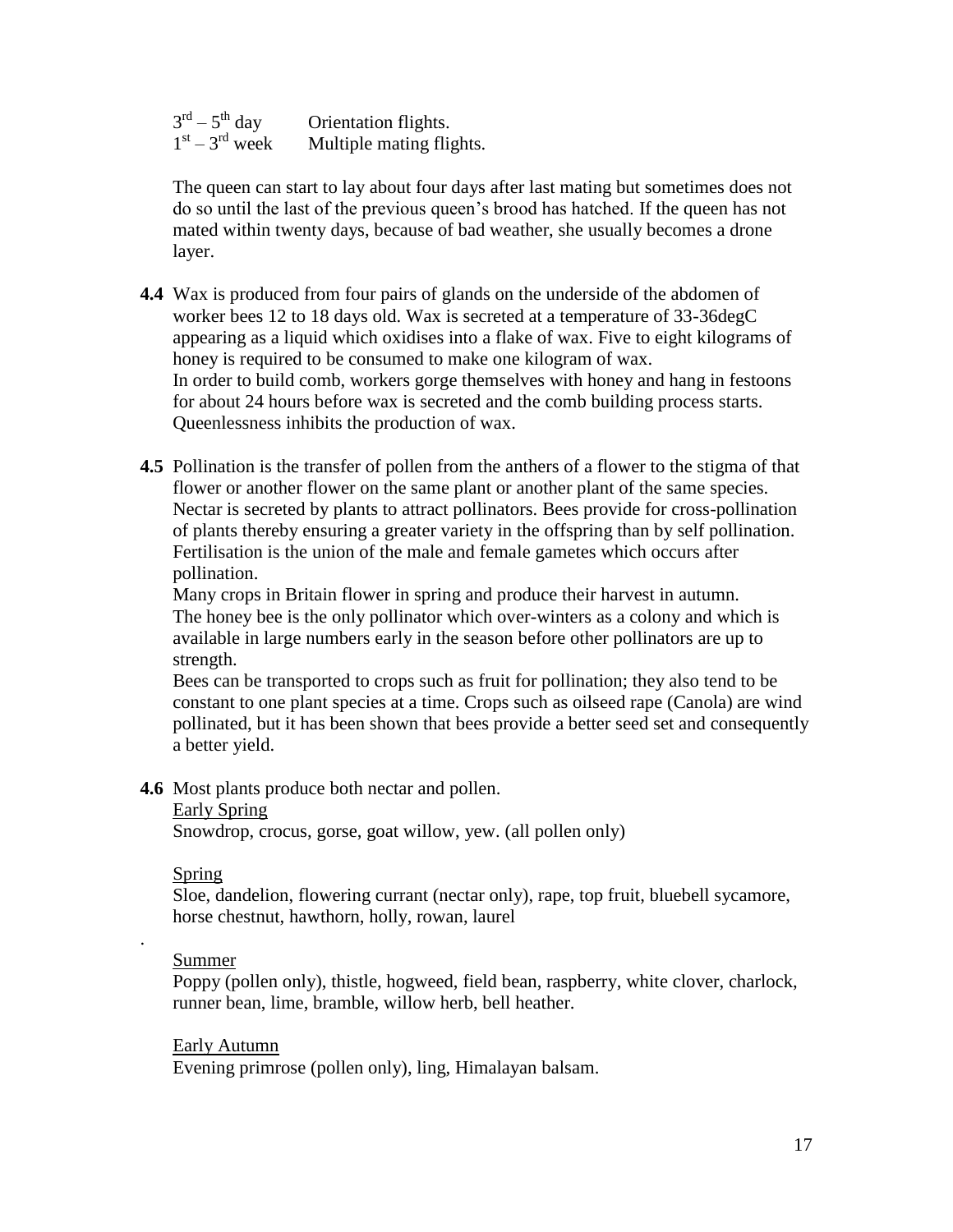| $3^{\text{rd}} - 5^{\text{th}}$ day | Orientation flights.     |
|-------------------------------------|--------------------------|
| $1st - 3rd$ week                    | Multiple mating flights. |

 The queen can start to lay about four days after last mating but sometimes does not do so until the last of the previous queen's brood has hatched. If the queen has not mated within twenty days, because of bad weather, she usually becomes a drone layer.

- **4.4** Wax is produced from four pairs of glands on the underside of the abdomen of worker bees 12 to 18 days old. Wax is secreted at a temperature of 33-36degC appearing as a liquid which oxidises into a flake of wax. Five to eight kilograms of honey is required to be consumed to make one kilogram of wax. In order to build comb, workers gorge themselves with honey and hang in festoons for about 24 hours before wax is secreted and the comb building process starts. Queenlessness inhibits the production of wax.
- **4.5** Pollination is the transfer of pollen from the anthers of a flower to the stigma of that flower or another flower on the same plant or another plant of the same species. Nectar is secreted by plants to attract pollinators. Bees provide for cross-pollination of plants thereby ensuring a greater variety in the offspring than by self pollination. Fertilisation is the union of the male and female gametes which occurs after pollination.

 Many crops in Britain flower in spring and produce their harvest in autumn. The honey bee is the only pollinator which over-winters as a colony and which is available in large numbers early in the season before other pollinators are up to strength.

 Bees can be transported to crops such as fruit for pollination; they also tend to be constant to one plant species at a time. Crops such as oilseed rape (Canola) are wind pollinated, but it has been shown that bees provide a better seed set and consequently a better yield.

**4.6** Most plants produce both nectar and pollen.

#### Early Spring

Snowdrop, crocus, gorse, goat willow, yew. (all pollen only)

#### Spring

 Sloe, dandelion, flowering currant (nectar only), rape, top fruit, bluebell sycamore, horse chestnut, hawthorn, holly, rowan, laurel

#### Summer

.

 Poppy (pollen only), thistle, hogweed, field bean, raspberry, white clover, charlock, runner bean, lime, bramble, willow herb, bell heather.

Early Autumn

Evening primrose (pollen only), ling, Himalayan balsam.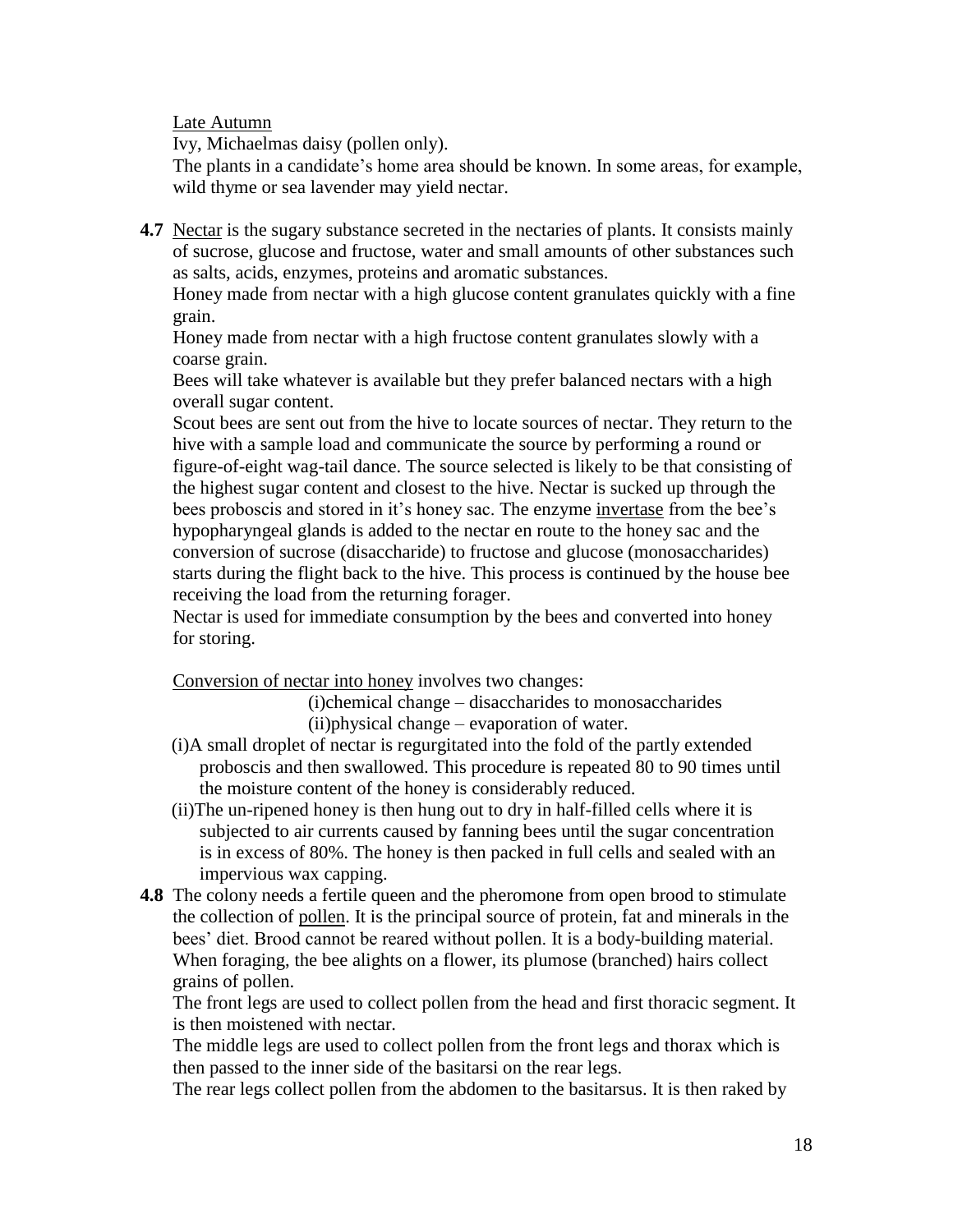Late Autumn

Ivy, Michaelmas daisy (pollen only).

 The plants in a candidate's home area should be known. In some areas, for example, wild thyme or sea lavender may yield nectar.

**4.7** Nectar is the sugary substance secreted in the nectaries of plants. It consists mainly of sucrose, glucose and fructose, water and small amounts of other substances such as salts, acids, enzymes, proteins and aromatic substances.

 Honey made from nectar with a high glucose content granulates quickly with a fine grain.

 Honey made from nectar with a high fructose content granulates slowly with a coarse grain.

 Bees will take whatever is available but they prefer balanced nectars with a high overall sugar content.

 Scout bees are sent out from the hive to locate sources of nectar. They return to the hive with a sample load and communicate the source by performing a round or figure-of-eight wag-tail dance. The source selected is likely to be that consisting of the highest sugar content and closest to the hive. Nectar is sucked up through the bees proboscis and stored in it's honey sac. The enzyme invertase from the bee's hypopharyngeal glands is added to the nectar en route to the honey sac and the conversion of sucrose (disaccharide) to fructose and glucose (monosaccharides) starts during the flight back to the hive. This process is continued by the house bee receiving the load from the returning forager.

 Nectar is used for immediate consumption by the bees and converted into honey for storing.

Conversion of nectar into honey involves two changes:

(i)chemical change – disaccharides to monosaccharides (ii)physical change – evaporation of water.

- (i)A small droplet of nectar is regurgitated into the fold of the partly extended proboscis and then swallowed. This procedure is repeated 80 to 90 times until the moisture content of the honey is considerably reduced.
- (ii)The un-ripened honey is then hung out to dry in half-filled cells where it is subjected to air currents caused by fanning bees until the sugar concentration is in excess of 80%. The honey is then packed in full cells and sealed with an impervious wax capping.
- **4.8** The colony needs a fertile queen and the pheromone from open brood to stimulate the collection of pollen. It is the principal source of protein, fat and minerals in the bees' diet. Brood cannot be reared without pollen. It is a body-building material. When foraging, the bee alights on a flower, its plumose (branched) hairs collect grains of pollen.

 The front legs are used to collect pollen from the head and first thoracic segment. It is then moistened with nectar.

 The middle legs are used to collect pollen from the front legs and thorax which is then passed to the inner side of the basitarsi on the rear legs.

The rear legs collect pollen from the abdomen to the basitarsus. It is then raked by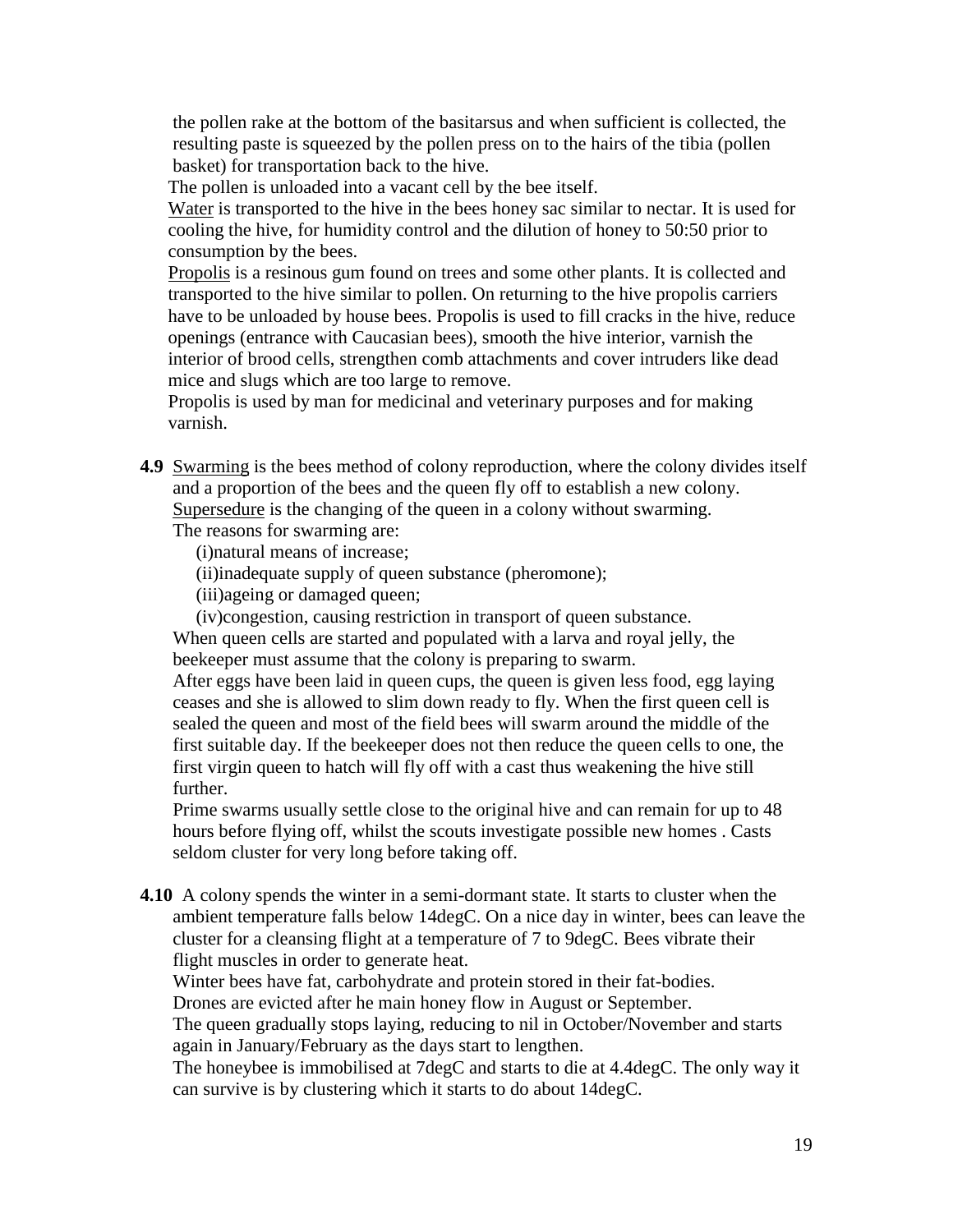the pollen rake at the bottom of the basitarsus and when sufficient is collected, the resulting paste is squeezed by the pollen press on to the hairs of the tibia (pollen basket) for transportation back to the hive.

The pollen is unloaded into a vacant cell by the bee itself.

 Water is transported to the hive in the bees honey sac similar to nectar. It is used for cooling the hive, for humidity control and the dilution of honey to 50:50 prior to consumption by the bees.

 Propolis is a resinous gum found on trees and some other plants. It is collected and transported to the hive similar to pollen. On returning to the hive propolis carriers have to be unloaded by house bees. Propolis is used to fill cracks in the hive, reduce openings (entrance with Caucasian bees), smooth the hive interior, varnish the interior of brood cells, strengthen comb attachments and cover intruders like dead mice and slugs which are too large to remove.

 Propolis is used by man for medicinal and veterinary purposes and for making varnish.

**4.9** Swarming is the bees method of colony reproduction, where the colony divides itself and a proportion of the bees and the queen fly off to establish a new colony. Supersedure is the changing of the queen in a colony without swarming.

The reasons for swarming are:

- (i)natural means of increase;
- (ii)inadequate supply of queen substance (pheromone);
- (iii)ageing or damaged queen;
- (iv)congestion, causing restriction in transport of queen substance.

 When queen cells are started and populated with a larva and royal jelly, the beekeeper must assume that the colony is preparing to swarm.

 After eggs have been laid in queen cups, the queen is given less food, egg laying ceases and she is allowed to slim down ready to fly. When the first queen cell is sealed the queen and most of the field bees will swarm around the middle of the first suitable day. If the beekeeper does not then reduce the queen cells to one, the first virgin queen to hatch will fly off with a cast thus weakening the hive still further.

 Prime swarms usually settle close to the original hive and can remain for up to 48 hours before flying off, whilst the scouts investigate possible new homes . Casts seldom cluster for very long before taking off.

**4.10** A colony spends the winter in a semi-dormant state. It starts to cluster when the ambient temperature falls below 14degC. On a nice day in winter, bees can leave the cluster for a cleansing flight at a temperature of 7 to 9degC. Bees vibrate their flight muscles in order to generate heat.

Winter bees have fat, carbohydrate and protein stored in their fat-bodies.

Drones are evicted after he main honey flow in August or September.

 The queen gradually stops laying, reducing to nil in October/November and starts again in January/February as the days start to lengthen.

 The honeybee is immobilised at 7degC and starts to die at 4.4degC. The only way it can survive is by clustering which it starts to do about 14degC.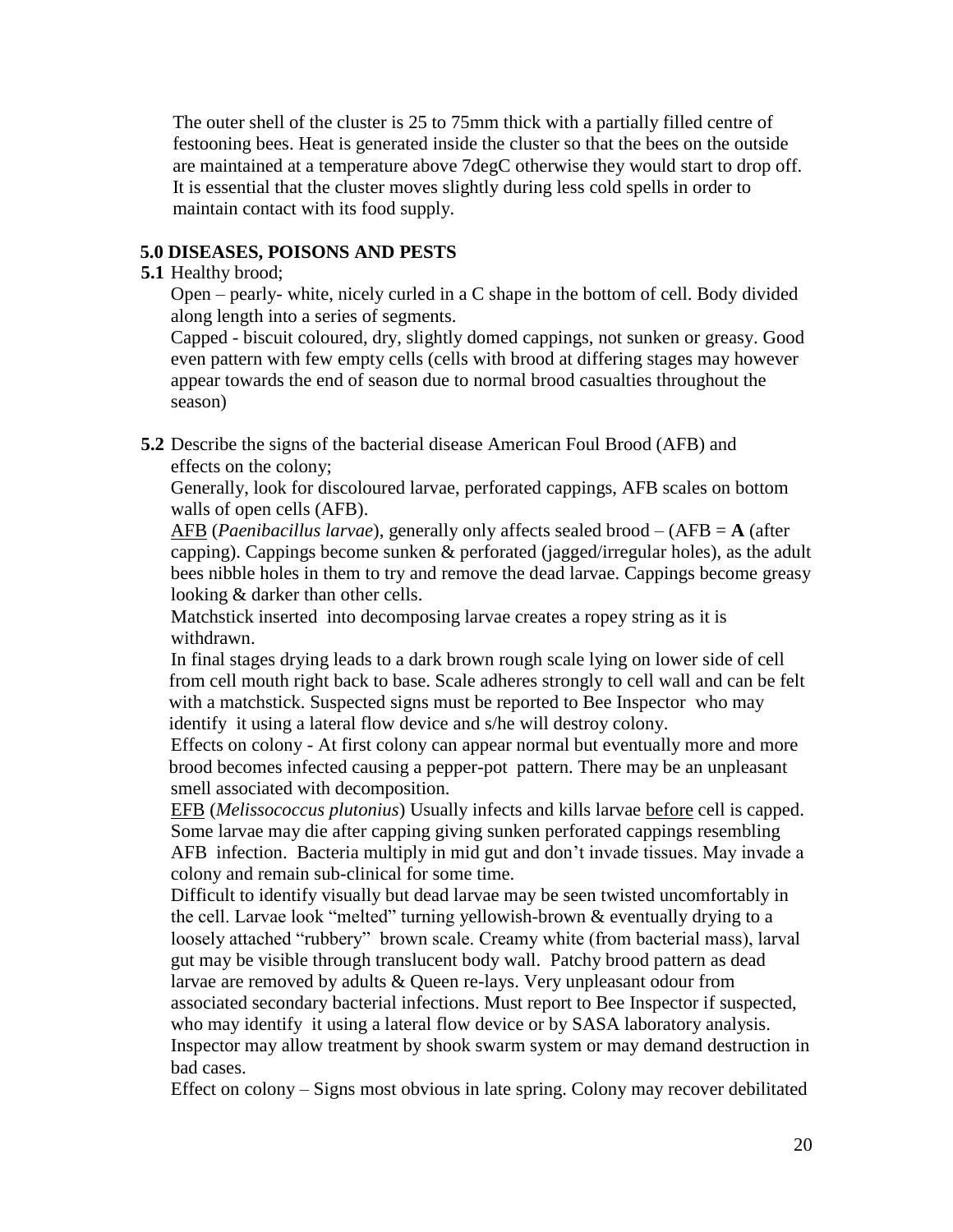The outer shell of the cluster is 25 to 75mm thick with a partially filled centre of festooning bees. Heat is generated inside the cluster so that the bees on the outside are maintained at a temperature above 7degC otherwise they would start to drop off. It is essential that the cluster moves slightly during less cold spells in order to maintain contact with its food supply.

## **5.0 DISEASES, POISONS AND PESTS**

#### **5.1** Healthy brood;

Open – pearly- white, nicely curled in a C shape in the bottom of cell. Body divided along length into a series of segments.

Capped - biscuit coloured, dry, slightly domed cappings, not sunken or greasy. Good even pattern with few empty cells (cells with brood at differing stages may however appear towards the end of season due to normal brood casualties throughout the season)

**5.2** Describe the signs of the bacterial disease American Foul Brood (AFB) and effects on the colony;

Generally, look for discoloured larvae, perforated cappings, AFB scales on bottom walls of open cells (AFB).

AFB (*Paenibacillus larvae*), generally only affects sealed brood – (AFB = **A** (after capping). Cappings become sunken & perforated (jagged/irregular holes), as the adult bees nibble holes in them to try and remove the dead larvae. Cappings become greasy looking & darker than other cells.

Matchstick inserted into decomposing larvae creates a ropey string as it is withdrawn.

In final stages drying leads to a dark brown rough scale lying on lower side of cell from cell mouth right back to base. Scale adheres strongly to cell wall and can be felt with a matchstick. Suspected signs must be reported to Bee Inspector who may identify it using a lateral flow device and s/he will destroy colony.

Effects on colony - At first colony can appear normal but eventually more and more brood becomes infected causing a pepper-pot pattern. There may be an unpleasant smell associated with decomposition.

EFB (*Melissococcus plutonius*) Usually infects and kills larvae before cell is capped. Some larvae may die after capping giving sunken perforated cappings resembling AFB infection. Bacteria multiply in mid gut and don't invade tissues. May invade a colony and remain sub-clinical for some time.

Difficult to identify visually but dead larvae may be seen twisted uncomfortably in the cell. Larvae look "melted" turning yellowish-brown & eventually drying to a loosely attached "rubbery" brown scale. Creamy white (from bacterial mass), larval gut may be visible through translucent body wall. Patchy brood pattern as dead larvae are removed by adults & Queen re-lays. Very unpleasant odour from associated secondary bacterial infections. Must report to Bee Inspector if suspected, who may identify it using a lateral flow device or by SASA laboratory analysis. Inspector may allow treatment by shook swarm system or may demand destruction in bad cases.

Effect on colony – Signs most obvious in late spring. Colony may recover debilitated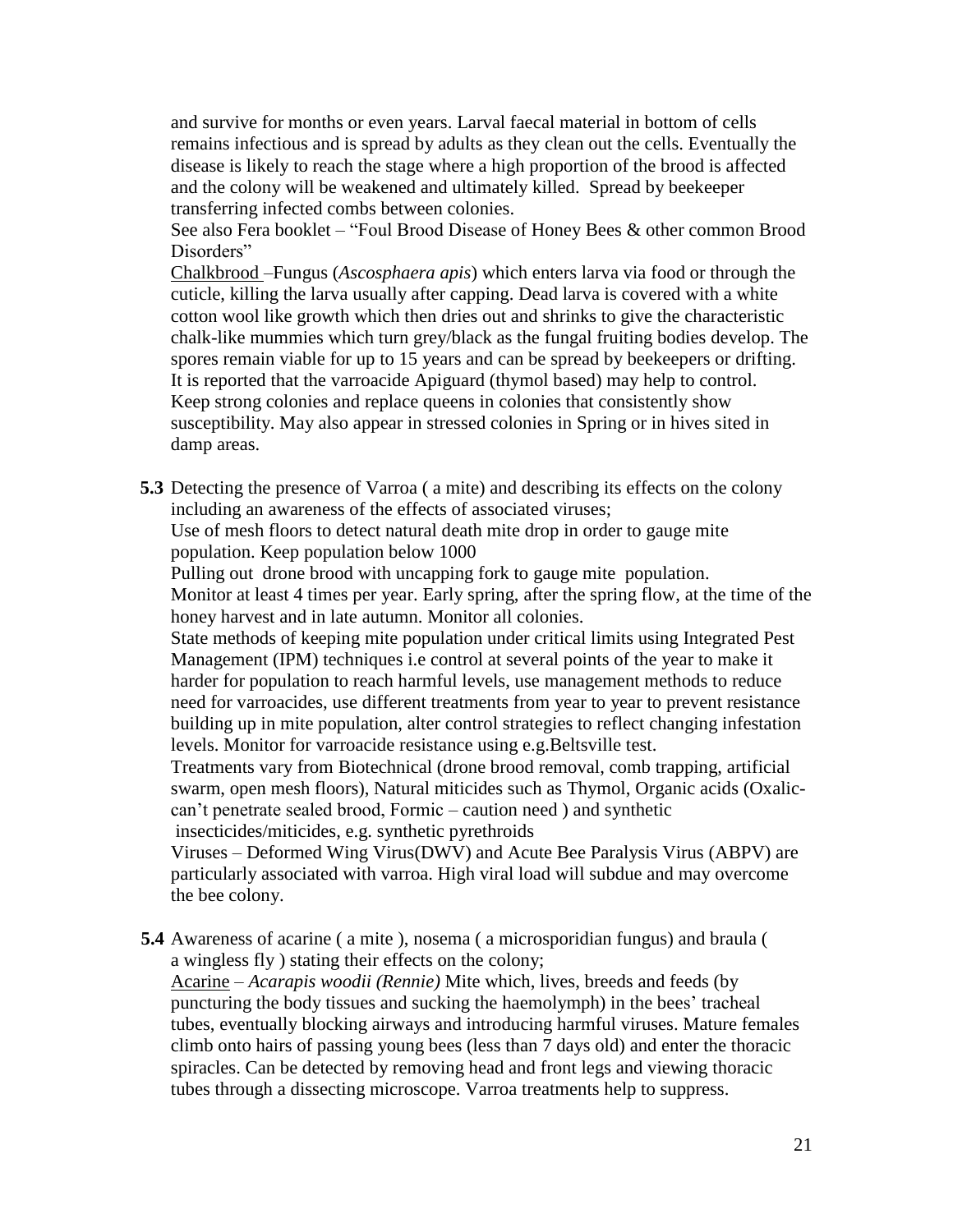and survive for months or even years. Larval faecal material in bottom of cells remains infectious and is spread by adults as they clean out the cells. Eventually the disease is likely to reach the stage where a high proportion of the brood is affected and the colony will be weakened and ultimately killed. Spread by beekeeper transferring infected combs between colonies.

See also Fera booklet – "Foul Brood Disease of Honey Bees & other common Brood Disorders"

Chalkbrood –Fungus (*Ascosphaera apis*) which enters larva via food or through the cuticle, killing the larva usually after capping. Dead larva is covered with a white cotton wool like growth which then dries out and shrinks to give the characteristic chalk-like mummies which turn grey/black as the fungal fruiting bodies develop. The spores remain viable for up to 15 years and can be spread by beekeepers or drifting. It is reported that the varroacide Apiguard (thymol based) may help to control. Keep strong colonies and replace queens in colonies that consistently show susceptibility. May also appear in stressed colonies in Spring or in hives sited in damp areas.

**5.3** Detecting the presence of Varroa ( a mite) and describing its effects on the colony including an awareness of the effects of associated viruses;

Use of mesh floors to detect natural death mite drop in order to gauge mite population. Keep population below 1000

Pulling out drone brood with uncapping fork to gauge mite population. Monitor at least 4 times per year. Early spring, after the spring flow, at the time of the honey harvest and in late autumn. Monitor all colonies.

State methods of keeping mite population under critical limits using Integrated Pest Management (IPM) techniques i.e control at several points of the year to make it harder for population to reach harmful levels, use management methods to reduce need for varroacides, use different treatments from year to year to prevent resistance building up in mite population, alter control strategies to reflect changing infestation levels. Monitor for varroacide resistance using e.g.Beltsville test.

Treatments vary from Biotechnical (drone brood removal, comb trapping, artificial swarm, open mesh floors), Natural miticides such as Thymol, Organic acids (Oxaliccan't penetrate sealed brood, Formic – caution need ) and synthetic insecticides/miticides, e.g. synthetic pyrethroids

Viruses – Deformed Wing Virus(DWV) and Acute Bee Paralysis Virus (ABPV) are particularly associated with varroa. High viral load will subdue and may overcome the bee colony.

**5.4** Awareness of acarine ( a mite ), nosema ( a microsporidian fungus) and braula ( a wingless fly ) stating their effects on the colony;

Acarine – *Acarapis woodii (Rennie)* Mite which, lives, breeds and feeds (by puncturing the body tissues and sucking the haemolymph) in the bees' tracheal tubes, eventually blocking airways and introducing harmful viruses. Mature females climb onto hairs of passing young bees (less than 7 days old) and enter the thoracic spiracles. Can be detected by removing head and front legs and viewing thoracic tubes through a dissecting microscope. Varroa treatments help to suppress.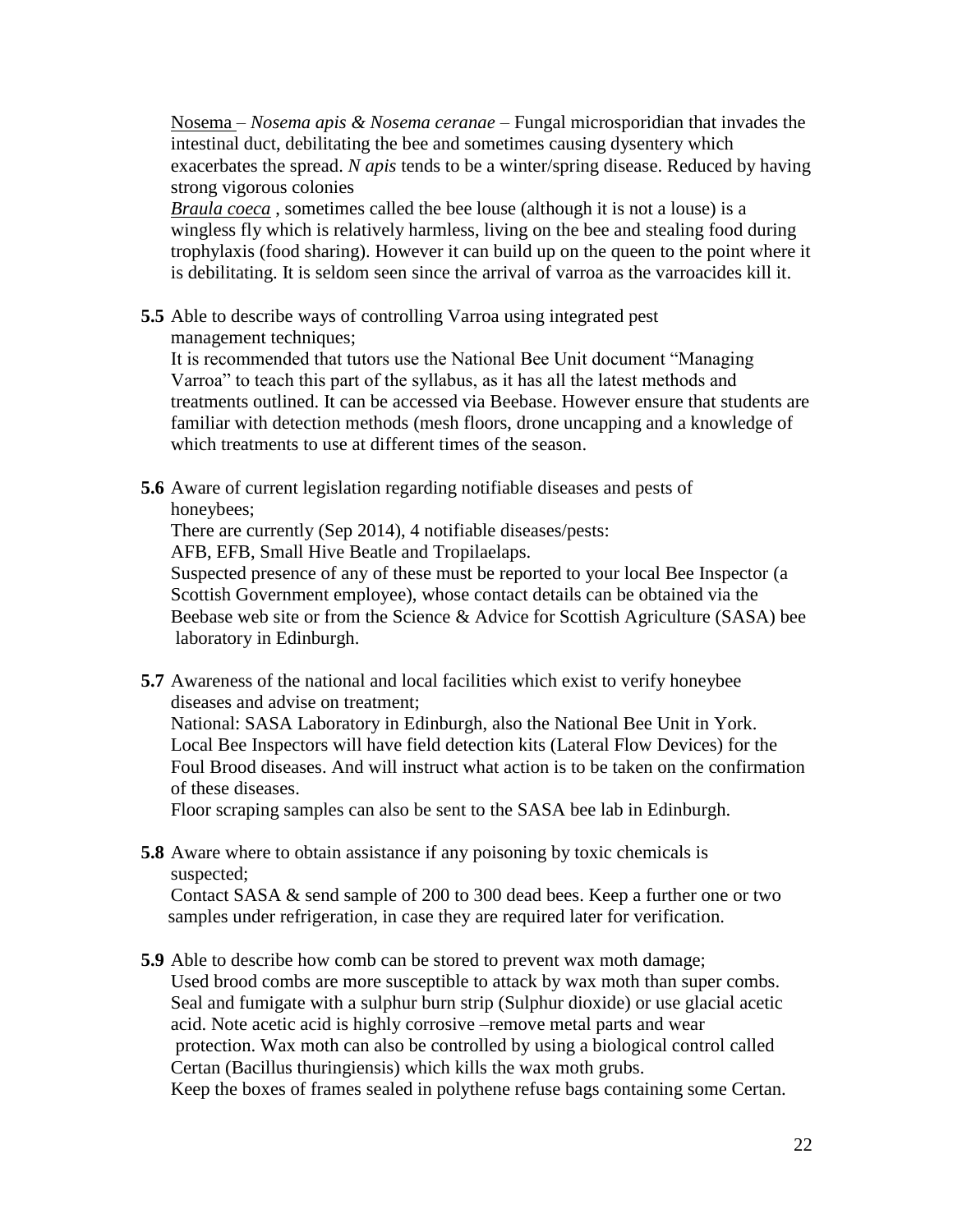Nosema – *Nosema apis & Nosema ceranae* – Fungal microsporidian that invades the intestinal duct, debilitating the bee and sometimes causing dysentery which exacerbates the spread. *N apis* tends to be a winter/spring disease. Reduced by having strong vigorous colonies

*Braula coeca* , sometimes called the bee louse (although it is not a louse) is a wingless fly which is relatively harmless, living on the bee and stealing food during trophylaxis (food sharing). However it can build up on the queen to the point where it is debilitating. It is seldom seen since the arrival of varroa as the varroacides kill it.

**5.5** Able to describe ways of controlling Varroa using integrated pest management techniques;

It is recommended that tutors use the National Bee Unit document "Managing Varroa" to teach this part of the syllabus, as it has all the latest methods and treatments outlined. It can be accessed via Beebase. However ensure that students are familiar with detection methods (mesh floors, drone uncapping and a knowledge of which treatments to use at different times of the season.

**5.6** Aware of current legislation regarding notifiable diseases and pests of honeybees;

There are currently (Sep 2014), 4 notifiable diseases/pests:

AFB, EFB, Small Hive Beatle and Tropilaelaps.

Suspected presence of any of these must be reported to your local Bee Inspector (a Scottish Government employee), whose contact details can be obtained via the Beebase web site or from the Science & Advice for Scottish Agriculture (SASA) bee laboratory in Edinburgh.

**5.7** Awareness of the national and local facilities which exist to verify honeybee diseases and advise on treatment;

National: SASA Laboratory in Edinburgh, also the National Bee Unit in York. Local Bee Inspectors will have field detection kits (Lateral Flow Devices) for the Foul Brood diseases. And will instruct what action is to be taken on the confirmation of these diseases.

Floor scraping samples can also be sent to the SASA bee lab in Edinburgh.

**5.8** Aware where to obtain assistance if any poisoning by toxic chemicals is suspected;

Contact SASA & send sample of 200 to 300 dead bees. Keep a further one or two samples under refrigeration, in case they are required later for verification.

**5.9** Able to describe how comb can be stored to prevent wax moth damage; Used brood combs are more susceptible to attack by wax moth than super combs. Seal and fumigate with a sulphur burn strip (Sulphur dioxide) or use glacial acetic acid. Note acetic acid is highly corrosive –remove metal parts and wear protection. Wax moth can also be controlled by using a biological control called Certan (Bacillus thuringiensis) which kills the wax moth grubs. Keep the boxes of frames sealed in polythene refuse bags containing some Certan.